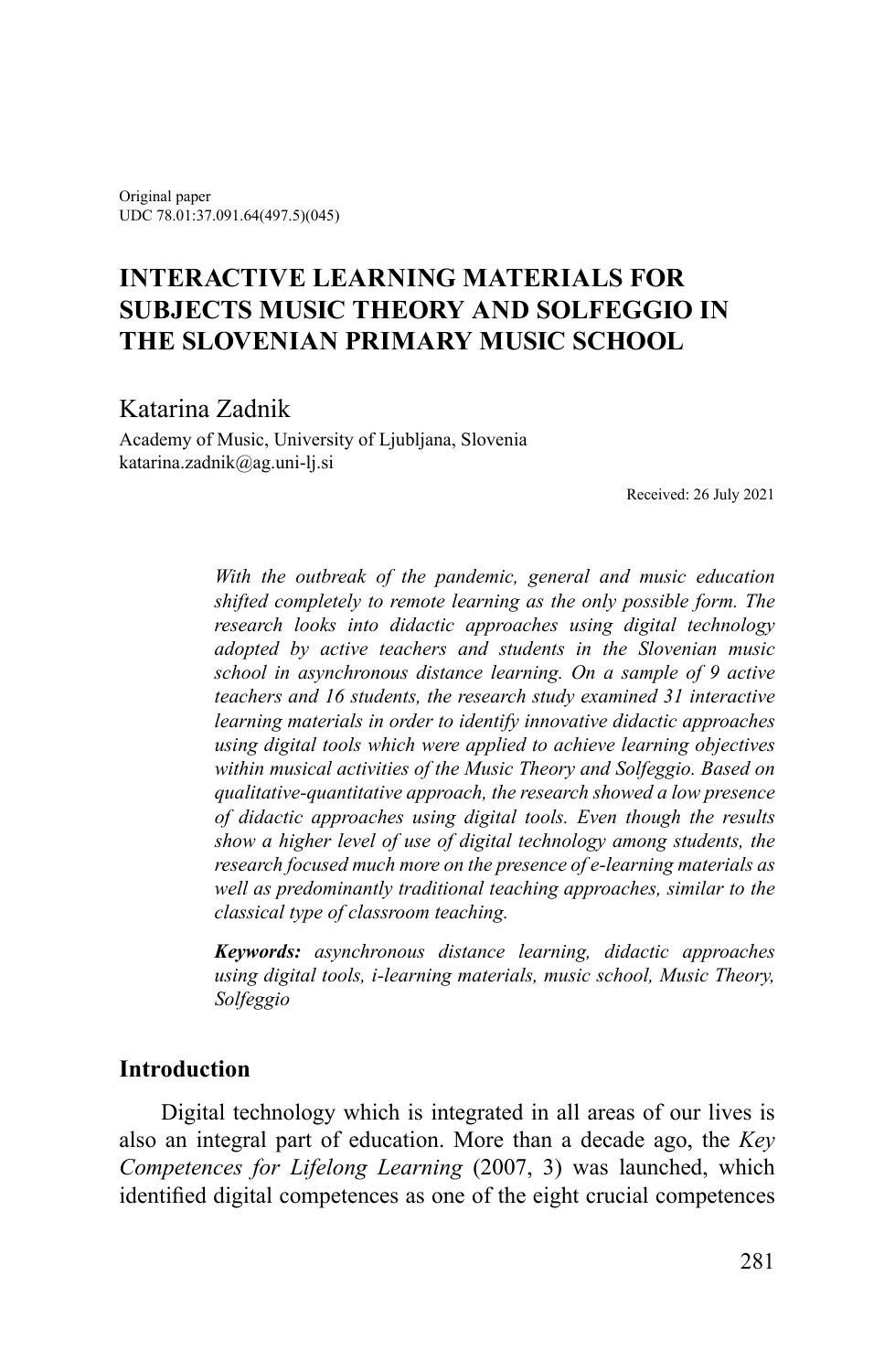Original paper UDC 78.01:37.091.64(497.5)(045)

# **INTERACTIVE LEARNING MATERIALS FOR SUBJECTS MUSIC THEORY AND SOLFEGGIO IN THE SLOVENIAN PRIMARY MUSIC SCHOOL**

# Katarina Zadnik

Academy of Music, University of Ljubljana, Slovenia katarina.zadnik@ag.uni-lj.si

Received: 26 July 2021

*With the outbreak of the pandemic, general and music education shifted completely to remote learning as the only possible form. The research looks into didactic approaches using digital technology adopted by active teachers and students in the Slovenian music school in asynchronous distance learning. On a sample of 9 active teachers and 16 students, the research study examined 31 interactive learning materials in order to identify innovative didactic approaches using digital tools which were applied to achieve learning objectives within musical activities of the Music Theory and Solfeggio. Based on qualitative-quantitative approach, the research showed a low presence of didactic approaches using digital tools. Even though the results show a higher level of use of digital technology among students, the research focused much more on the presence of e-learning materials as well as predominantly traditional teaching approaches, similar to the classical type of classroom teaching.*

*Keywords: asynchronous distance learning, didactic approaches using digital tools, i-learning materials, music school, Music Theory, Solfeggio*

### **Introduction**

Digital technology which is integrated in all areas of our lives is also an integral part of education. More than a decade ago, the *Key Competences for Lifelong Learning* (2007, 3) was launched, which identified digital competences as one of the eight crucial competences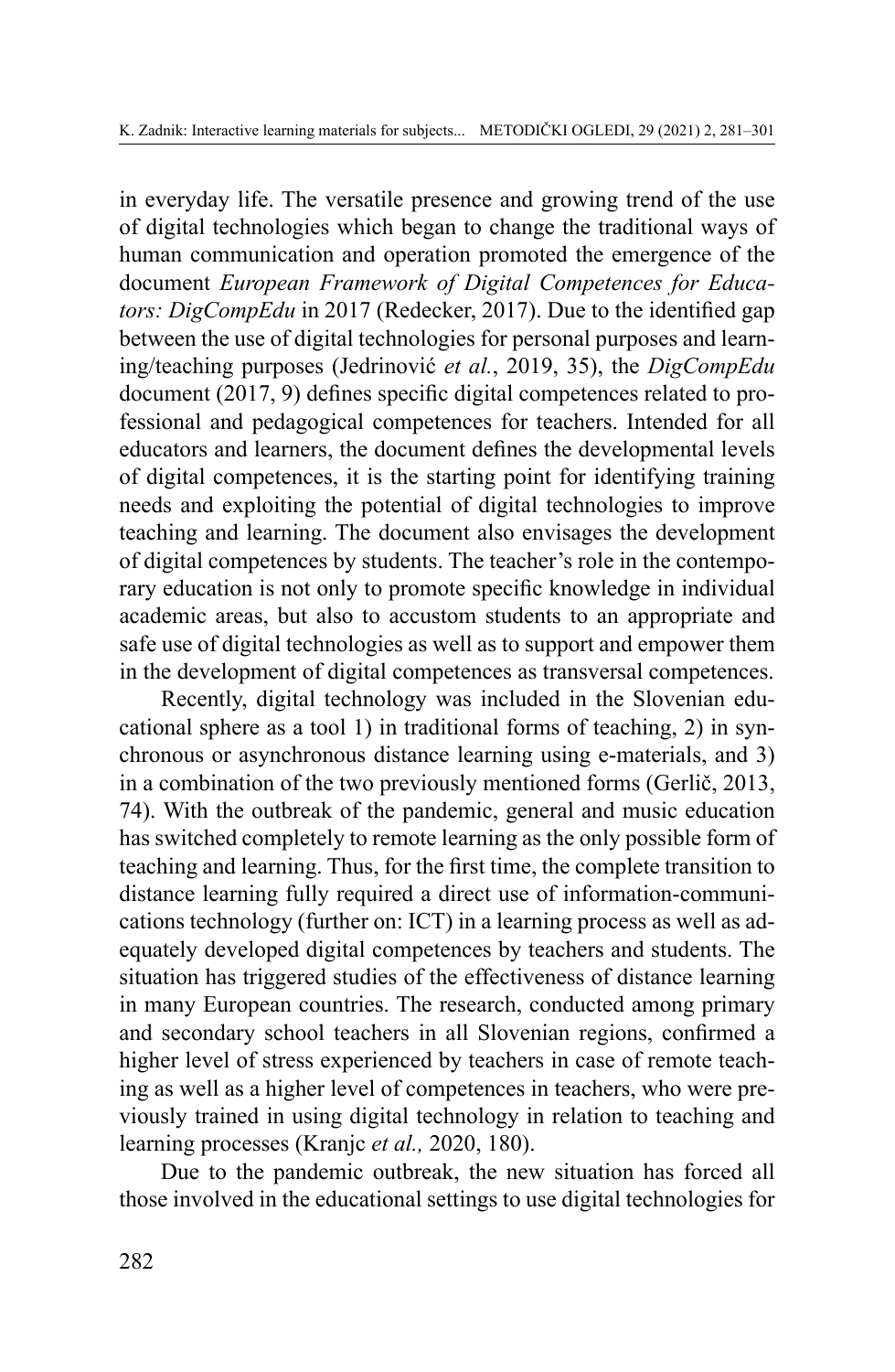in everyday life. The versatile presence and growing trend of the use of digital technologies which began to change the traditional ways of human communication and operation promoted the emergence of the document *European Framework of Digital Competences for Educators: DigCompEdu* in 2017 (Redecker, 2017). Due to the identified gap between the use of digital technologies for personal purposes and learning/teaching purposes (Jedrinović *et al.*, 2019, 35), the *DigCompEdu* document (2017, 9) defines specific digital competences related to professional and pedagogical competences for teachers. Intended for all educators and learners, the document defines the developmental levels of digital competences, it is the starting point for identifying training needs and exploiting the potential of digital technologies to improve teaching and learning. The document also envisages the development of digital competences by students. The teacher's role in the contemporary education is not only to promote specific knowledge in individual academic areas, but also to accustom students to an appropriate and safe use of digital technologies as well as to support and empower them in the development of digital competences as transversal competences.

Recently, digital technology was included in the Slovenian educational sphere as a tool 1) in traditional forms of teaching, 2) in synchronous or asynchronous distance learning using e-materials, and 3) in a combination of the two previously mentioned forms (Gerlič, 2013, 74). With the outbreak of the pandemic, general and music education has switched completely to remote learning as the only possible form of teaching and learning. Thus, for the first time, the complete transition to distance learning fully required a direct use of information-communications technology (further on: ICT) in a learning process as well as adequately developed digital competences by teachers and students. The situation has triggered studies of the effectiveness of distance learning in many European countries. The research, conducted among primary and secondary school teachers in all Slovenian regions, confirmed a higher level of stress experienced by teachers in case of remote teaching as well as a higher level of competences in teachers, who were previously trained in using digital technology in relation to teaching and learning processes (Kranjc *et al.,* 2020, 180).

Due to the pandemic outbreak, the new situation has forced all those involved in the educational settings to use digital technologies for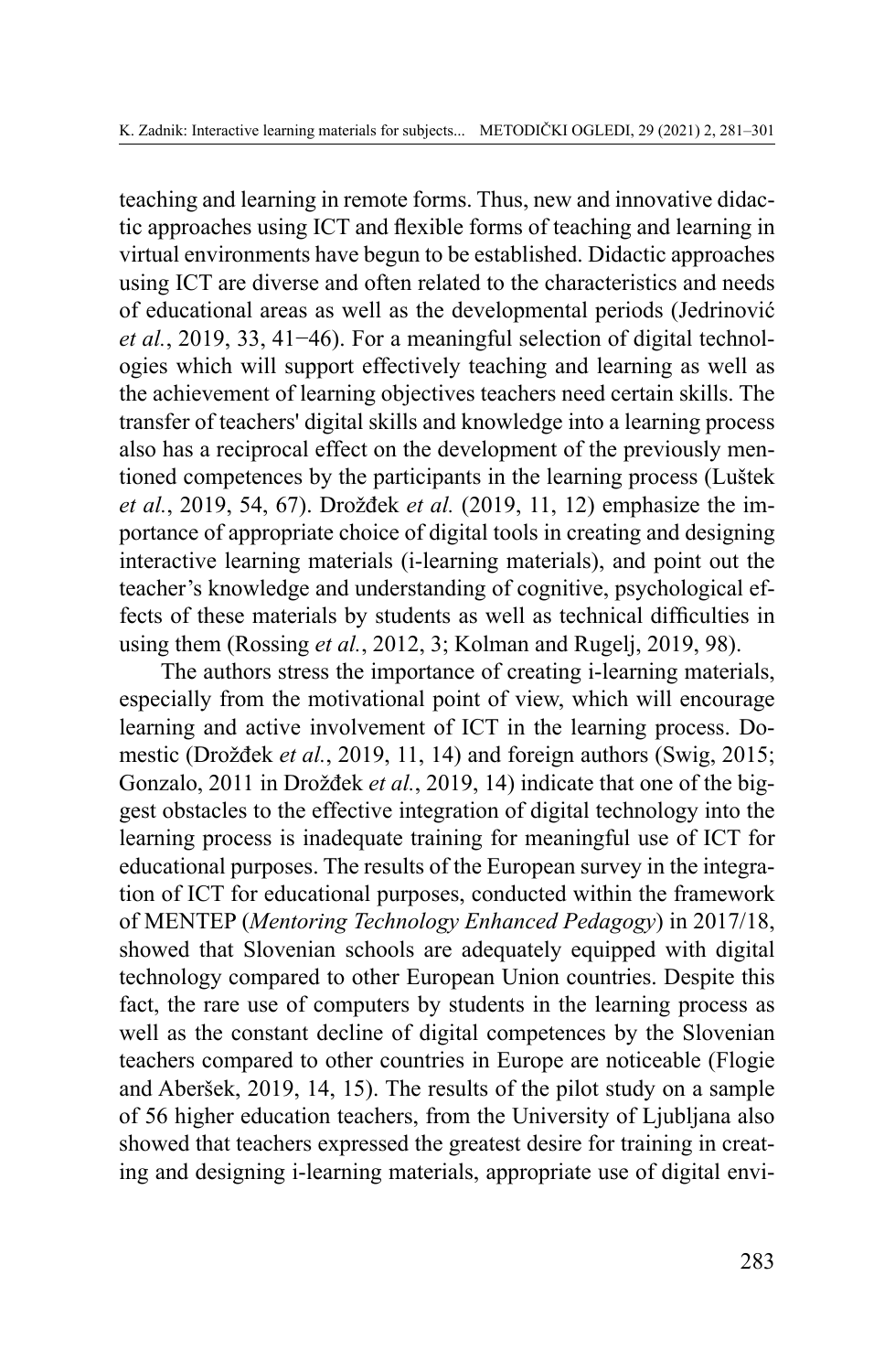teaching and learning in remote forms. Thus, new and innovative didactic approaches using ICT and flexible forms of teaching and learning in virtual environments have begun to be established. Didactic approaches using ICT are diverse and often related to the characteristics and needs of educational areas as well as the developmental periods (Jedrinović *et al.*, 2019, 33, 41−46). For a meaningful selection of digital technologies which will support effectively teaching and learning as well as the achievement of learning objectives teachers need certain skills. The transfer of teachers' digital skills and knowledge into a learning process also has a reciprocal effect on the development of the previously mentioned competences by the participants in the learning process (Luštek *et al.*, 2019, 54, 67). Drožđek *et al.* (2019, 11, 12) emphasize the importance of appropriate choice of digital tools in creating and designing interactive learning materials (i-learning materials), and point out the teacher's knowledge and understanding of cognitive, psychological effects of these materials by students as well as technical difficulties in using them (Rossing *et al.*, 2012, 3; Kolman and Rugelj, 2019, 98).

The authors stress the importance of creating i-learning materials, especially from the motivational point of view, which will encourage learning and active involvement of ICT in the learning process. Domestic (Drožđek *et al.*, 2019, 11, 14) and foreign authors (Swig, 2015; Gonzalo, 2011 in Drožđek *et al.*, 2019, 14) indicate that one of the biggest obstacles to the effective integration of digital technology into the learning process is inadequate training for meaningful use of ICT for educational purposes. The results of the European survey in the integration of ICT for educational purposes, conducted within the framework of MENTEP (*Mentoring Technology Enhanced Pedagogy*) in 2017/18, showed that Slovenian schools are adequately equipped with digital technology compared to other European Union countries. Despite this fact, the rare use of computers by students in the learning process as well as the constant decline of digital competences by the Slovenian teachers compared to other countries in Europe are noticeable (Flogie and Aberšek, 2019, 14, 15). The results of the pilot study on a sample of 56 higher education teachers, from the University of Ljubljana also showed that teachers expressed the greatest desire for training in creating and designing i-learning materials, appropriate use of digital envi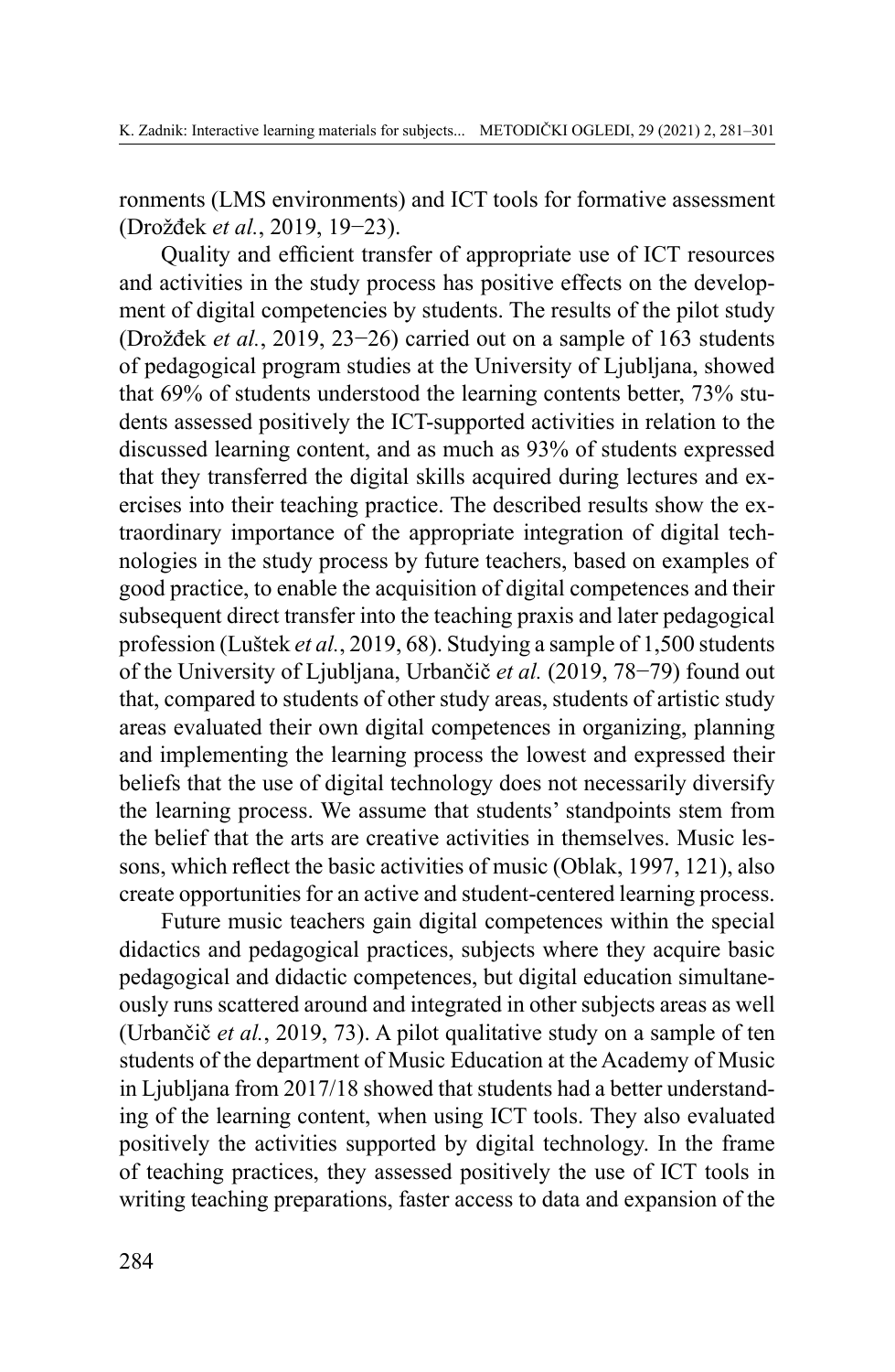ronments (LMS environments) and ICT tools for formative assessment (Drožđek *et al.*, 2019, 19−23).

Quality and efficient transfer of appropriate use of ICT resources and activities in the study process has positive effects on the development of digital competencies by students. The results of the pilot study (Drožđek *et al.*, 2019, 23−26) carried out on a sample of 163 students of pedagogical program studies at the University of Ljubljana, showed that 69% of students understood the learning contents better, 73% students assessed positively the ICT-supported activities in relation to the discussed learning content, and as much as 93% of students expressed that they transferred the digital skills acquired during lectures and exercises into their teaching practice. The described results show the extraordinary importance of the appropriate integration of digital technologies in the study process by future teachers, based on examples of good practice, to enable the acquisition of digital competences and their subsequent direct transfer into the teaching praxis and later pedagogical profession (Luštek *et al.*, 2019, 68). Studying a sample of 1,500 students of the University of Ljubljana, Urbančič *et al.* (2019, 78−79) found out that, compared to students of other study areas, students of artistic study areas evaluated their own digital competences in organizing, planning and implementing the learning process the lowest and expressed their beliefs that the use of digital technology does not necessarily diversify the learning process. We assume that students' standpoints stem from the belief that the arts are creative activities in themselves. Music lessons, which reflect the basic activities of music (Oblak, 1997, 121), also create opportunities for an active and student-centered learning process.

Future music teachers gain digital competences within the special didactics and pedagogical practices, subjects where they acquire basic pedagogical and didactic competences, but digital education simultaneously runs scattered around and integrated in other subjects areas as well (Urbančič *et al.*, 2019, 73). A pilot qualitative study on a sample of ten students of the department of Music Education at the Academy of Music in Ljubljana from 2017/18 showed that students had a better understanding of the learning content, when using ICT tools. They also evaluated positively the activities supported by digital technology. In the frame of teaching practices, they assessed positively the use of ICT tools in writing teaching preparations, faster access to data and expansion of the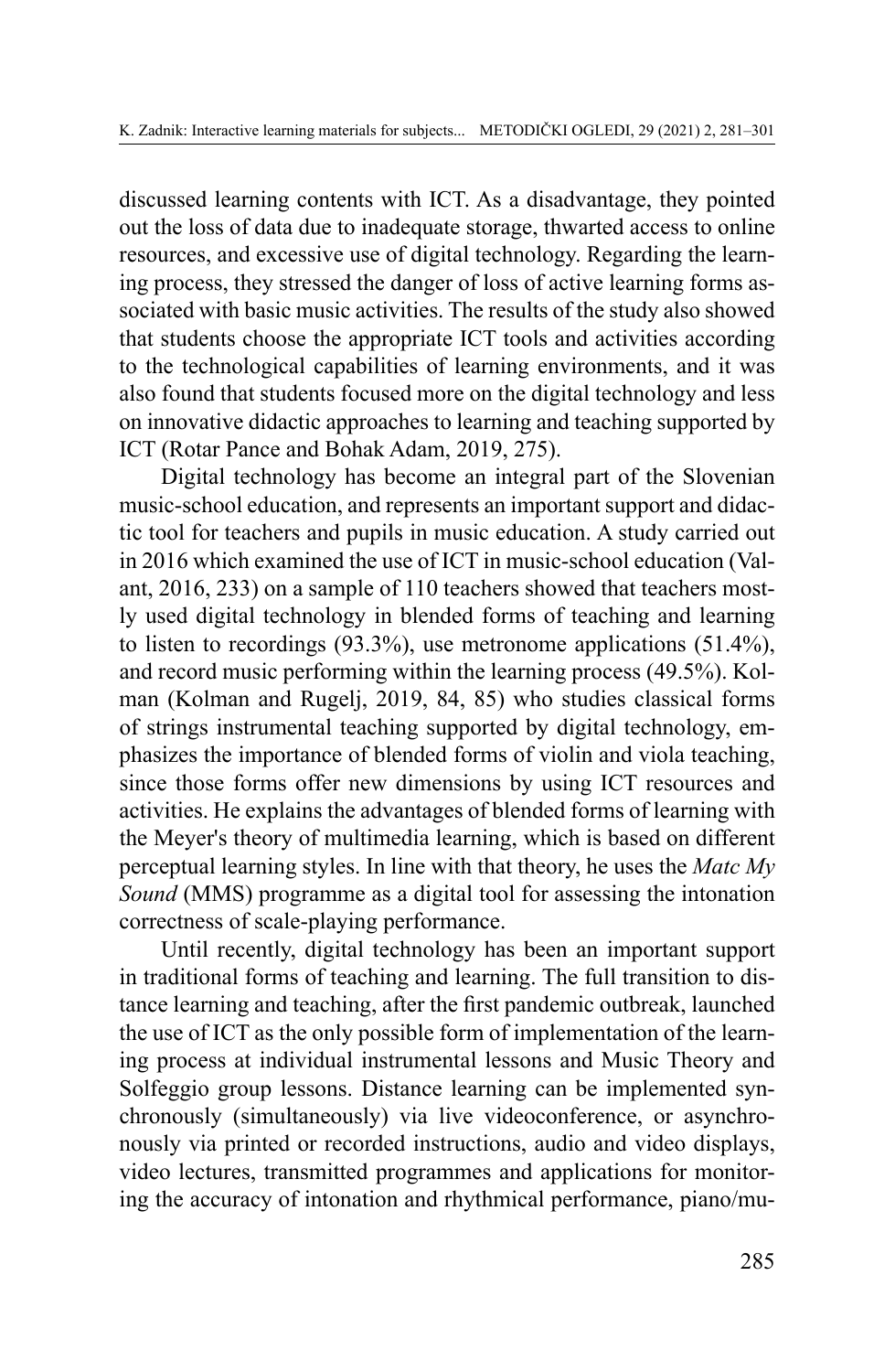discussed learning contents with ICT. As a disadvantage, they pointed out the loss of data due to inadequate storage, thwarted access to online resources, and excessive use of digital technology. Regarding the learning process, they stressed the danger of loss of active learning forms associated with basic music activities. The results of the study also showed that students choose the appropriate ICT tools and activities according to the technological capabilities of learning environments, and it was also found that students focused more on the digital technology and less on innovative didactic approaches to learning and teaching supported by ICT (Rotar Pance and Bohak Adam, 2019, 275).

Digital technology has become an integral part of the Slovenian music-school education, and represents an important support and didactic tool for teachers and pupils in music education. A study carried out in 2016 which examined the use of ICT in music-school education (Valant, 2016, 233) on a sample of 110 teachers showed that teachers mostly used digital technology in blended forms of teaching and learning to listen to recordings (93.3%), use metronome applications (51.4%), and record music performing within the learning process (49.5%). Kolman (Kolman and Rugelj, 2019, 84, 85) who studies classical forms of strings instrumental teaching supported by digital technology, emphasizes the importance of blended forms of violin and viola teaching, since those forms offer new dimensions by using ICT resources and activities. He explains the advantages of blended forms of learning with the Meyer's theory of multimedia learning, which is based on different perceptual learning styles. In line with that theory, he uses the *Matc My Sound* (MMS) programme as a digital tool for assessing the intonation correctness of scale-playing performance.

Until recently, digital technology has been an important support in traditional forms of teaching and learning. The full transition to distance learning and teaching, after the first pandemic outbreak, launched the use of ICT as the only possible form of implementation of the learning process at individual instrumental lessons and Music Theory and Solfeggio group lessons. Distance learning can be implemented synchronously (simultaneously) via live videoconference, or asynchronously via printed or recorded instructions, audio and video displays, video lectures, transmitted programmes and applications for monitoring the accuracy of intonation and rhythmical performance, piano/mu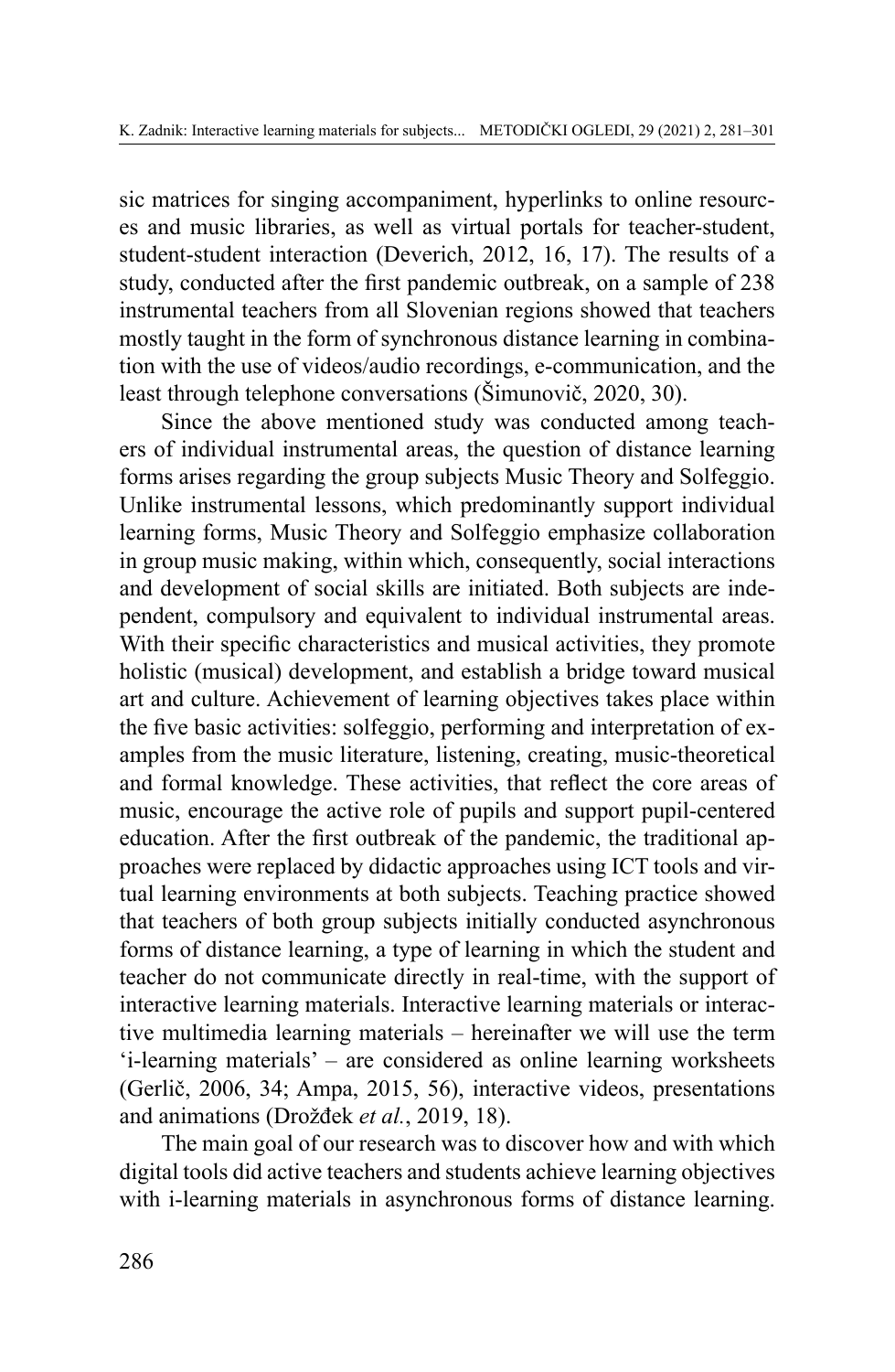sic matrices for singing accompaniment, hyperlinks to online resources and music libraries, as well as virtual portals for teacher-student, student-student interaction (Deverich, 2012, 16, 17). The results of a study, conducted after the first pandemic outbreak, on a sample of 238 instrumental teachers from all Slovenian regions showed that teachers mostly taught in the form of synchronous distance learning in combination with the use of videos/audio recordings, e-communication, and the least through telephone conversations (Šimunovič, 2020, 30).

Since the above mentioned study was conducted among teachers of individual instrumental areas, the question of distance learning forms arises regarding the group subjects Music Theory and Solfeggio. Unlike instrumental lessons, which predominantly support individual learning forms, Music Theory and Solfeggio emphasize collaboration in group music making, within which, consequently, social interactions and development of social skills are initiated. Both subjects are independent, compulsory and equivalent to individual instrumental areas. With their specific characteristics and musical activities, they promote holistic (musical) development, and establish a bridge toward musical art and culture. Achievement of learning objectives takes place within the five basic activities: solfeggio, performing and interpretation of examples from the music literature, listening, creating, music-theoretical and formal knowledge. These activities, that reflect the core areas of music, encourage the active role of pupils and support pupil-centered education. After the first outbreak of the pandemic, the traditional approaches were replaced by didactic approaches using ICT tools and virtual learning environments at both subjects. Teaching practice showed that teachers of both group subjects initially conducted asynchronous forms of distance learning, a type of learning in which the student and teacher do not communicate directly in real-time, with the support of interactive learning materials. Interactive learning materials or interactive multimedia learning materials – hereinafter we will use the term 'i-learning materials' – are considered as online learning worksheets (Gerlič, 2006, 34; Ampa, 2015, 56), interactive videos, presentations and animations (Drožđek *et al.*, 2019, 18).

The main goal of our research was to discover how and with which digital tools did active teachers and students achieve learning objectives with i-learning materials in asynchronous forms of distance learning.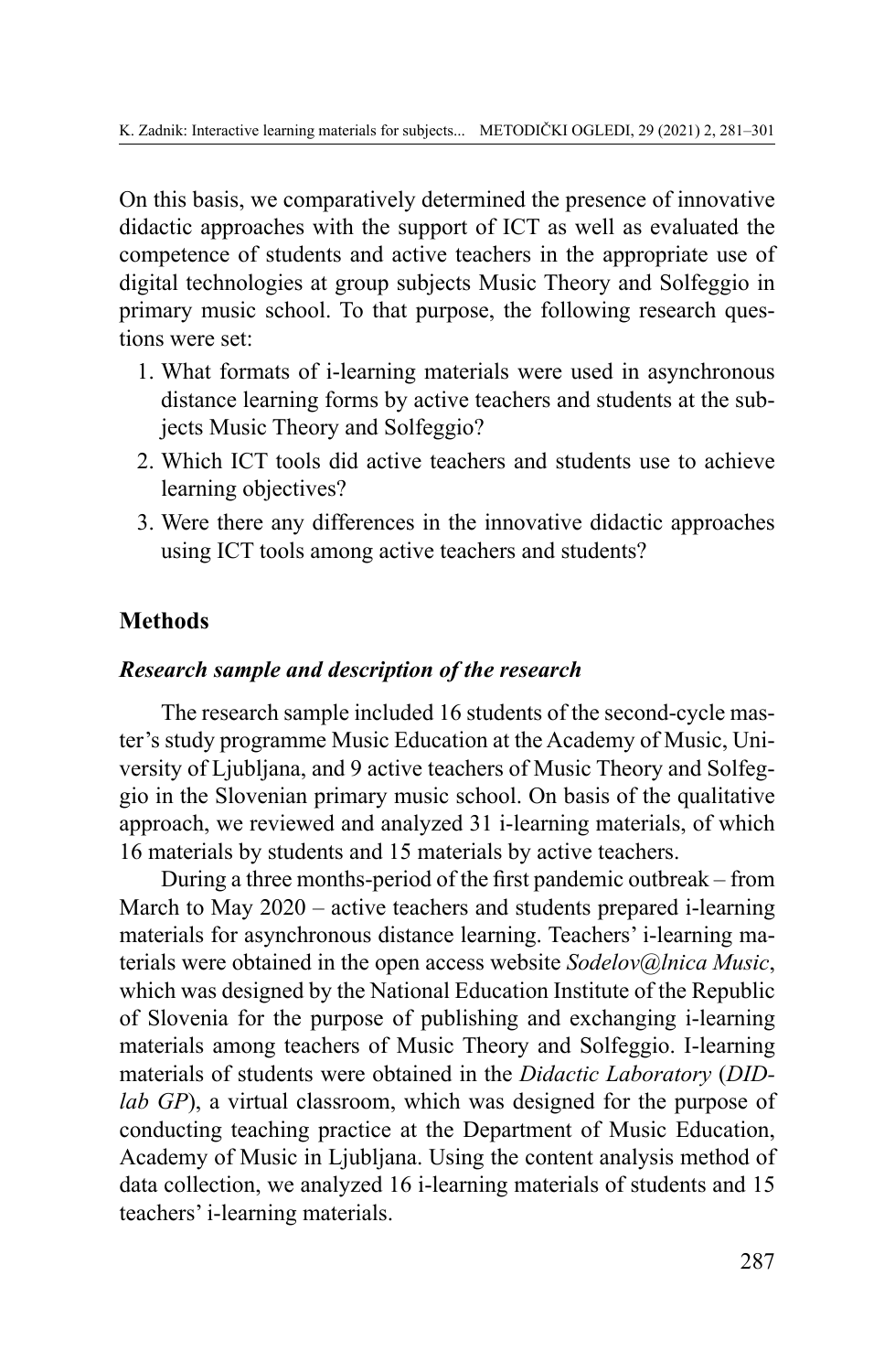On this basis, we comparatively determined the presence of innovative didactic approaches with the support of ICT as well as evaluated the competence of students and active teachers in the appropriate use of digital technologies at group subjects Music Theory and Solfeggio in primary music school. To that purpose, the following research questions were set:

- 1. What formats of i-learning materials were used in asynchronous distance learning forms by active teachers and students at the subjects Music Theory and Solfeggio?
- 2. Which ICT tools did active teachers and students use to achieve learning objectives?
- 3. Were there any differences in the innovative didactic approaches using ICT tools among active teachers and students?

# **Methods**

### *Research sample and description of the research*

The research sample included 16 students of the second-cycle master's study programme Music Education at the Academy of Music, University of Ljubljana, and 9 active teachers of Music Theory and Solfeggio in the Slovenian primary music school. On basis of the qualitative approach, we reviewed and analyzed 31 i-learning materials, of which 16 materials by students and 15 materials by active teachers.

During a three months-period of the first pandemic outbreak – from March to May 2020 – active teachers and students prepared i-learning materials for asynchronous distance learning. Teachers' i-learning materials were obtained in the open access website *Sodelov@lnica Music*, which was designed by the National Education Institute of the Republic of Slovenia for the purpose of publishing and exchanging i-learning materials among teachers of Music Theory and Solfeggio. I-learning materials of students were obtained in the *Didactic Laboratory* (*DIDlab GP*), a virtual classroom, which was designed for the purpose of conducting teaching practice at the Department of Music Education, Academy of Music in Ljubljana. Using the content analysis method of data collection, we analyzed 16 i-learning materials of students and 15 teachers' i-learning materials.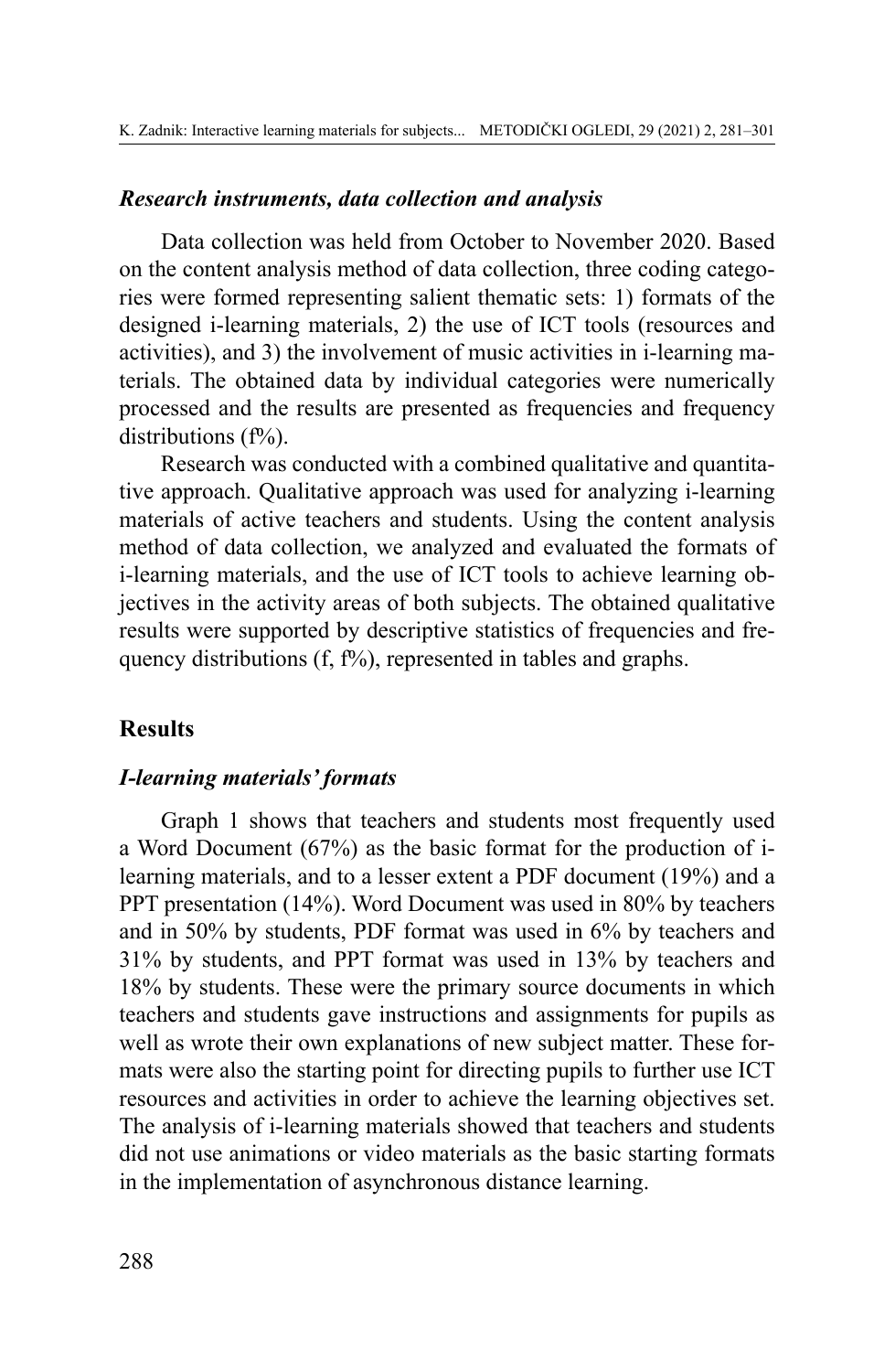#### *Research instruments, data collection and analysis*

Data collection was held from October to November 2020. Based on the content analysis method of data collection, three coding categories were formed representing salient thematic sets: 1) formats of the designed i-learning materials, 2) the use of ICT tools (resources and activities), and 3) the involvement of music activities in i-learning materials. The obtained data by individual categories were numerically processed and the results are presented as frequencies and frequency distributions  $(f\%)$ .

Research was conducted with a combined qualitative and quantitative approach. Qualitative approach was used for analyzing i-learning materials of active teachers and students. Using the content analysis method of data collection, we analyzed and evaluated the formats of i-learning materials, and the use of ICT tools to achieve learning objectives in the activity areas of both subjects. The obtained qualitative results were supported by descriptive statistics of frequencies and frequency distributions  $(f, f\%)$ , represented in tables and graphs.

#### **Results**

#### *I-learning materials' formats*

Graph 1 shows that teachers and students most frequently used a Word Document (67%) as the basic format for the production of ilearning materials, and to a lesser extent a PDF document (19%) and a PPT presentation (14%). Word Document was used in 80% by teachers and in 50% by students, PDF format was used in 6% by teachers and 31% by students, and PPT format was used in 13% by teachers and 18% by students. These were the primary source documents in which teachers and students gave instructions and assignments for pupils as well as wrote their own explanations of new subject matter. These formats were also the starting point for directing pupils to further use ICT resources and activities in order to achieve the learning objectives set. The analysis of i-learning materials showed that teachers and students did not use animations or video materials as the basic starting formats in the implementation of asynchronous distance learning.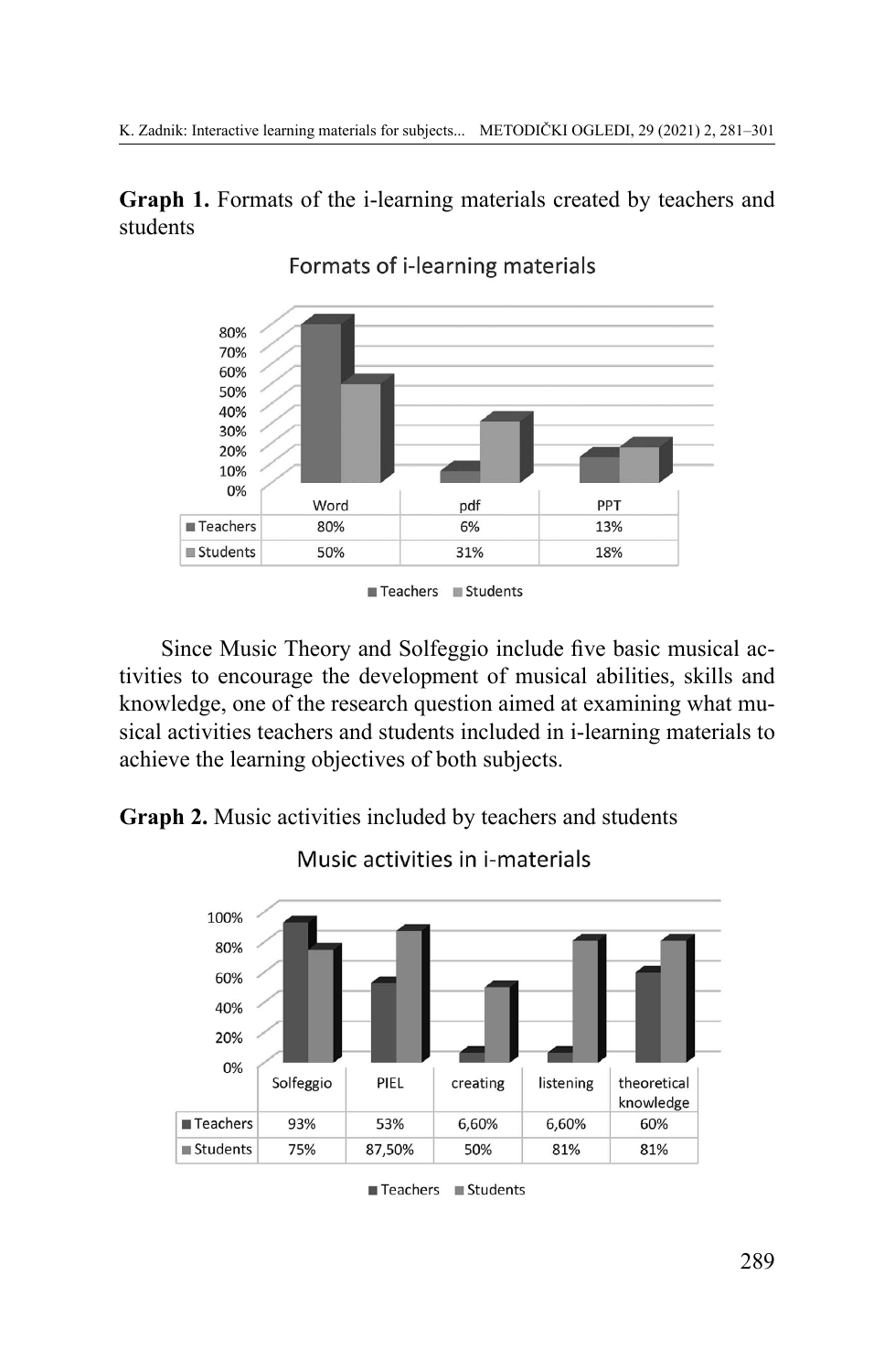**Graph 1.** Formats of the i-learning materials created by teachers and students



Formats of i-learning materials

Since Music Theory and Solfeggio include five basic musical activities to encourage the development of musical abilities, skills and knowledge, one of the research question aimed at examining what musical activities teachers and students included in i-learning materials to achieve the learning objectives of both subjects.

**Graph 2.** Music activities included by teachers and students



Music activities in i-materials

Teachers Students

Teachers Students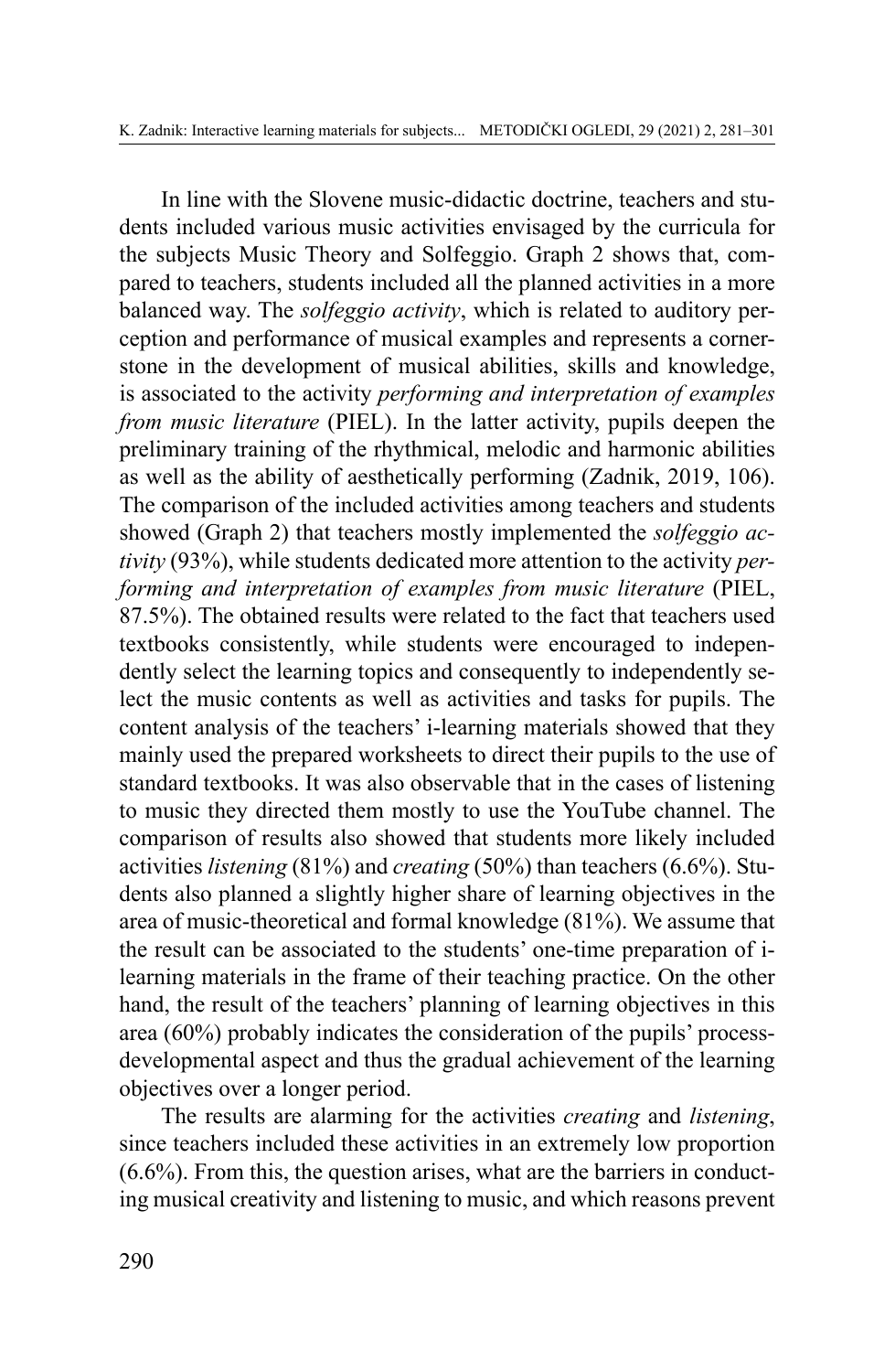In line with the Slovene music-didactic doctrine, teachers and students included various music activities envisaged by the curricula for the subjects Music Theory and Solfeggio. Graph 2 shows that, compared to teachers, students included all the planned activities in a more balanced way. The *solfeggio activity*, which is related to auditory perception and performance of musical examples and represents a cornerstone in the development of musical abilities, skills and knowledge, is associated to the activity *performing and interpretation of examples from music literature* (PIEL). In the latter activity, pupils deepen the preliminary training of the rhythmical, melodic and harmonic abilities as well as the ability of aesthetically performing (Zadnik, 2019, 106). The comparison of the included activities among teachers and students showed (Graph 2) that teachers mostly implemented the *solfeggio activity* (93%), while students dedicated more attention to the activity *performing and interpretation of examples from music literature* (PIEL, 87.5%). The obtained results were related to the fact that teachers used textbooks consistently, while students were encouraged to independently select the learning topics and consequently to independently select the music contents as well as activities and tasks for pupils. The content analysis of the teachers' i-learning materials showed that they mainly used the prepared worksheets to direct their pupils to the use of standard textbooks. It was also observable that in the cases of listening to music they directed them mostly to use the YouTube channel. The comparison of results also showed that students more likely included activities *listening* (81%) and *creating* (50%) than teachers (6.6%). Students also planned a slightly higher share of learning objectives in the area of music-theoretical and formal knowledge (81%). We assume that the result can be associated to the students' one-time preparation of ilearning materials in the frame of their teaching practice. On the other hand, the result of the teachers' planning of learning objectives in this area (60%) probably indicates the consideration of the pupils' processdevelopmental aspect and thus the gradual achievement of the learning objectives over a longer period.

The results are alarming for the activities *creating* and *listening*, since teachers included these activities in an extremely low proportion (6.6%). From this, the question arises, what are the barriers in conducting musical creativity and listening to music, and which reasons prevent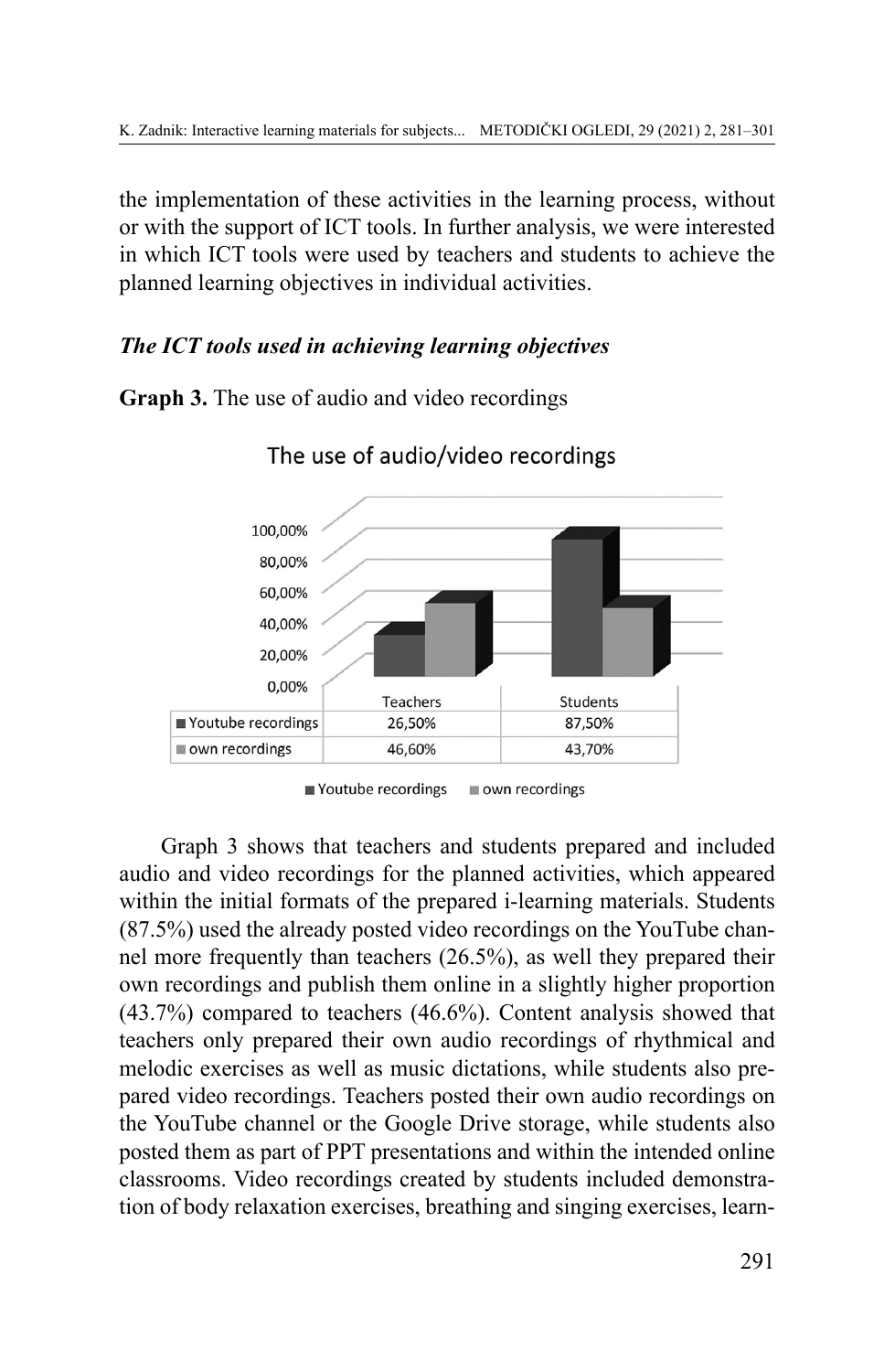the implementation of these activities in the learning process, without or with the support of ICT tools. In further analysis, we were interested in which ICT tools were used by teachers and students to achieve the planned learning objectives in individual activities.

# *The ICT tools used in achieving learning objectives*

**Graph 3.** The use of audio and video recordings



The use of audio/video recordings

Graph 3 shows that teachers and students prepared and included audio and video recordings for the planned activities, which appeared within the initial formats of the prepared i-learning materials. Students (87.5%) used the already posted video recordings on the YouTube channel more frequently than teachers (26.5%), as well they prepared their own recordings and publish them online in a slightly higher proportion (43.7%) compared to teachers (46.6%). Content analysis showed that teachers only prepared their own audio recordings of rhythmical and melodic exercises as well as music dictations, while students also prepared video recordings. Teachers posted their own audio recordings on the YouTube channel or the Google Drive storage, while students also posted them as part of PPT presentations and within the intended online classrooms. Video recordings created by students included demonstration of body relaxation exercises, breathing and singing exercises, learn-

<sup>■</sup> Youtube recordings own recordings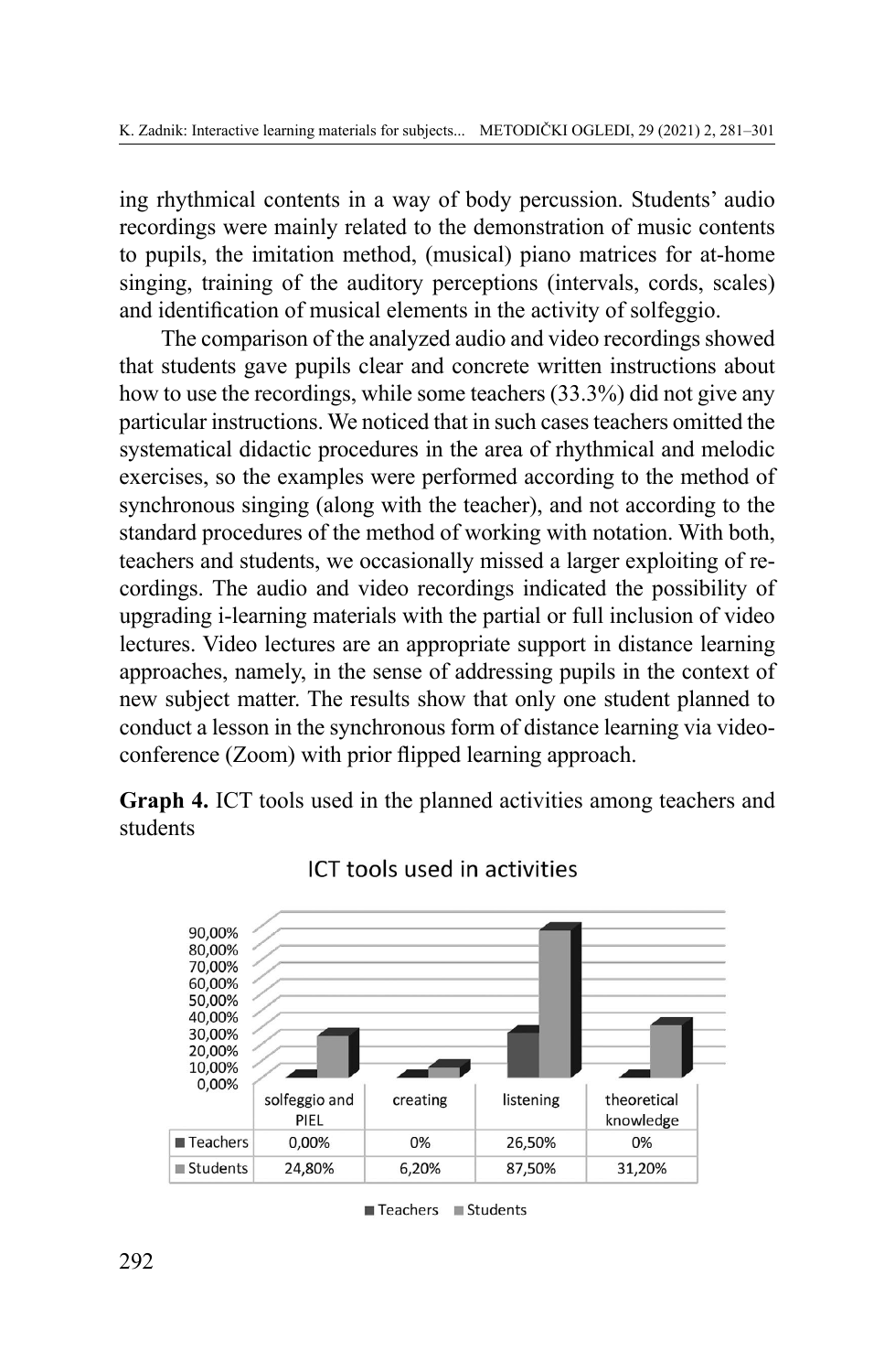ing rhythmical contents in a way of body percussion. Students' audio recordings were mainly related to the demonstration of music contents to pupils, the imitation method, (musical) piano matrices for at-home singing, training of the auditory perceptions (intervals, cords, scales) and identification of musical elements in the activity of solfeggio.

The comparison of the analyzed audio and video recordings showed that students gave pupils clear and concrete written instructions about how to use the recordings, while some teachers (33.3%) did not give any particular instructions. We noticed that in such cases teachers omitted the systematical didactic procedures in the area of rhythmical and melodic exercises, so the examples were performed according to the method of synchronous singing (along with the teacher), and not according to the standard procedures of the method of working with notation. With both, teachers and students, we occasionally missed a larger exploiting of recordings. The audio and video recordings indicated the possibility of upgrading i-learning materials with the partial or full inclusion of video lectures. Video lectures are an appropriate support in distance learning approaches, namely, in the sense of addressing pupils in the context of new subject matter. The results show that only one student planned to conduct a lesson in the synchronous form of distance learning via videoconference (Zoom) with prior flipped learning approach.

**Graph 4.** ICT tools used in the planned activities among teachers and students



# ICT tools used in activities

Teachers Students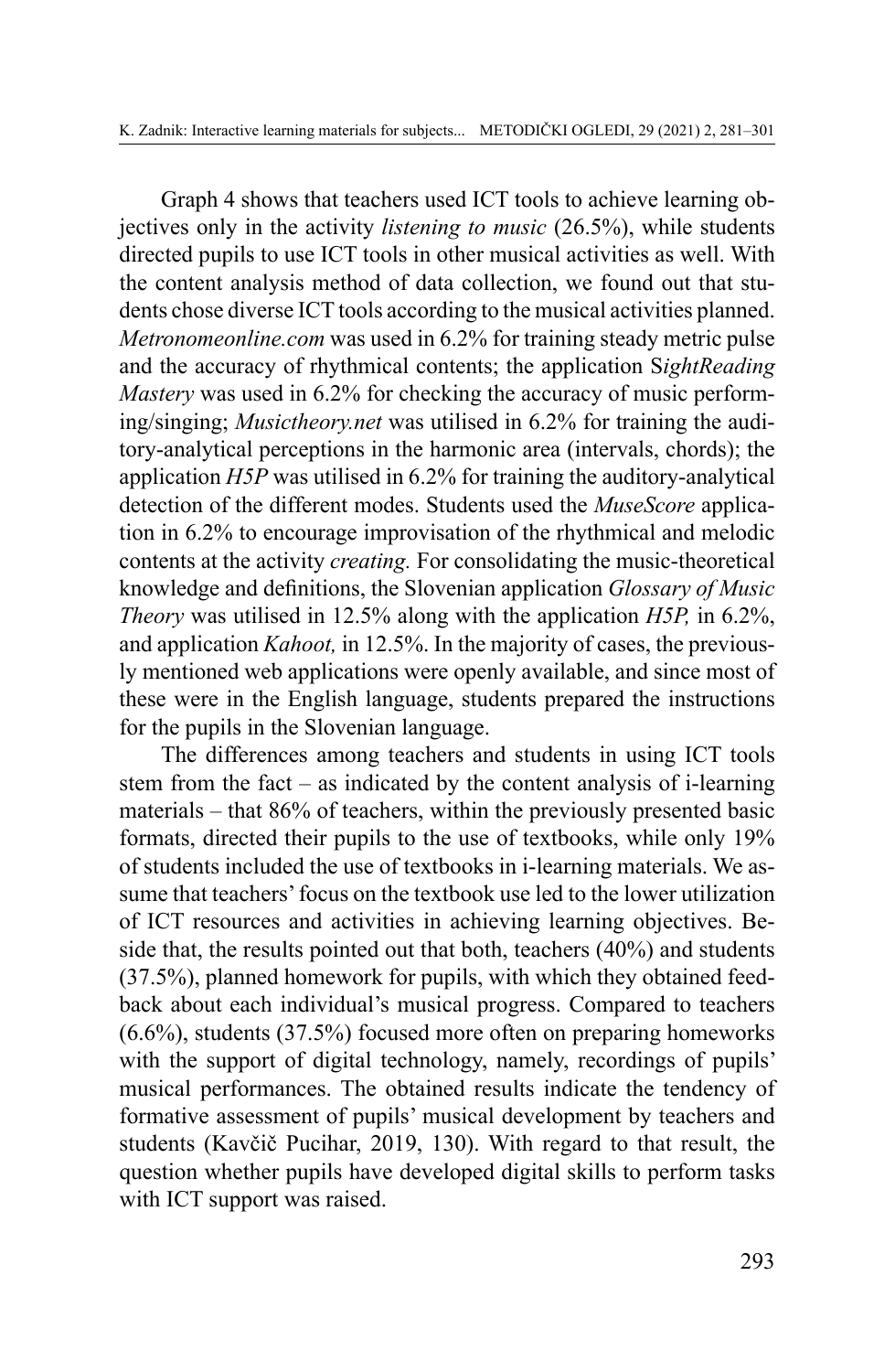Graph 4 shows that teachers used ICT tools to achieve learning objectives only in the activity *listening to music* (26.5%), while students directed pupils to use ICT tools in other musical activities as well. With the content analysis method of data collection, we found out that students chose diverse ICT tools according to the musical activities planned. *Metronomeonline.com* was used in 6.2% for training steady metric pulse and the accuracy of rhythmical contents; the application S*ightReading Mastery* was used in 6.2% for checking the accuracy of music performing/singing; *Musictheory.net* was utilised in 6.2% for training the auditory-analytical perceptions in the harmonic area (intervals, chords); the application *H5P* was utilised in 6.2% for training the auditory-analytical detection of the different modes. Students used the *MuseScore* application in 6.2% to encourage improvisation of the rhythmical and melodic contents at the activity *creating.* For consolidating the music-theoretical knowledge and definitions, the Slovenian application *Glossary of Music Theory* was utilised in 12.5% along with the application *H5P,* in 6.2%, and application *Kahoot,* in 12.5%. In the majority of cases, the previously mentioned web applications were openly available, and since most of these were in the English language, students prepared the instructions for the pupils in the Slovenian language.

The differences among teachers and students in using ICT tools stem from the fact – as indicated by the content analysis of i-learning materials – that 86% of teachers, within the previously presented basic formats, directed their pupils to the use of textbooks, while only 19% of students included the use of textbooks in i-learning materials. We assume that teachers' focus on the textbook use led to the lower utilization of ICT resources and activities in achieving learning objectives. Beside that, the results pointed out that both, teachers (40%) and students (37.5%), planned homework for pupils, with which they obtained feedback about each individual's musical progress. Compared to teachers (6.6%), students (37.5%) focused more often on preparing homeworks with the support of digital technology, namely, recordings of pupils' musical performances. The obtained results indicate the tendency of formative assessment of pupils' musical development by teachers and students (Kavčič Pucihar, 2019, 130). With regard to that result, the question whether pupils have developed digital skills to perform tasks with ICT support was raised.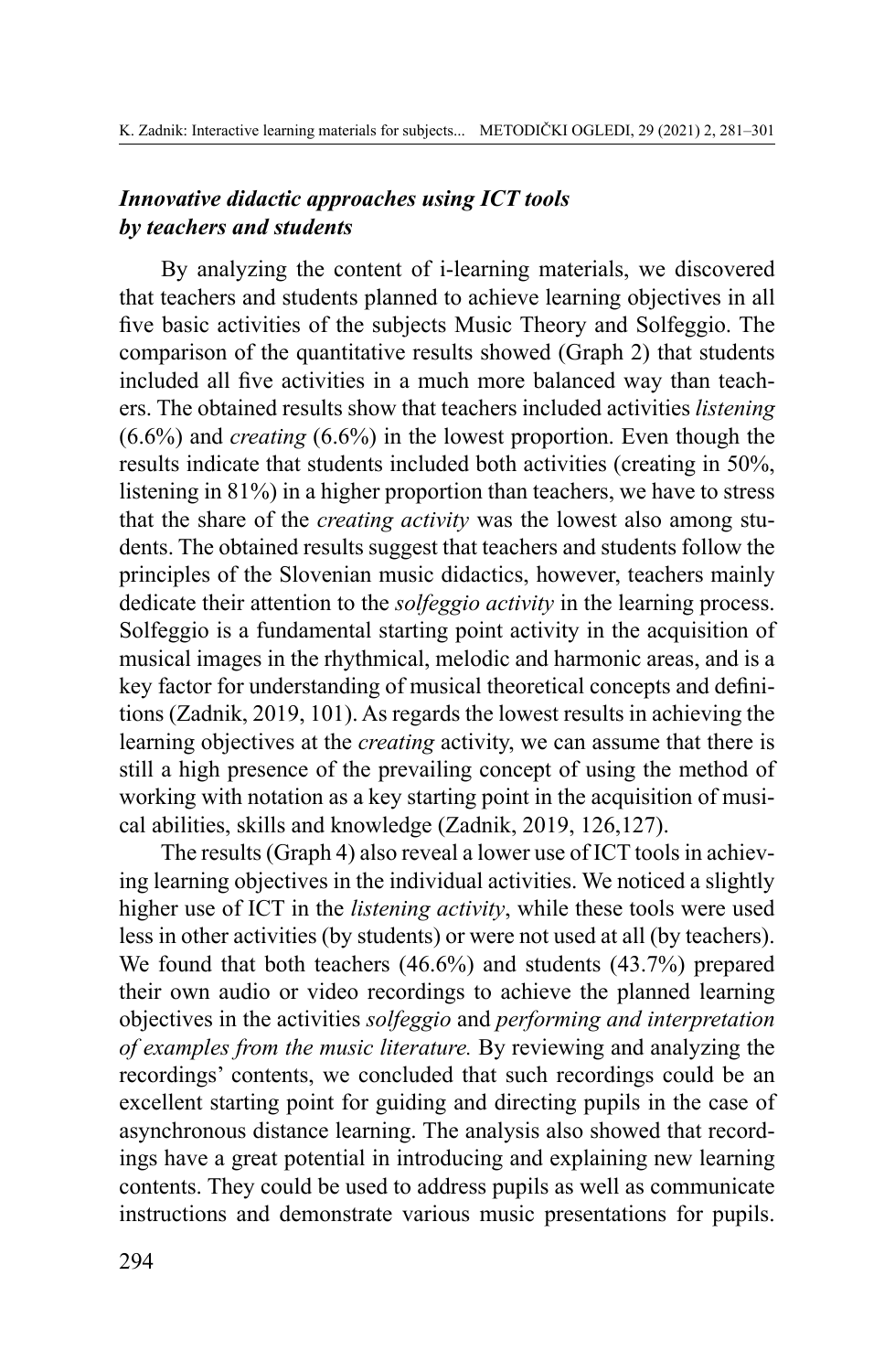## *Innovative didactic approaches using ICT tools by teachers and students*

By analyzing the content of i-learning materials, we discovered that teachers and students planned to achieve learning objectives in all five basic activities of the subjects Music Theory and Solfeggio. The comparison of the quantitative results showed (Graph 2) that students included all five activities in a much more balanced way than teachers. The obtained results show that teachers included activities *listening* (6.6%) and *creating* (6.6%) in the lowest proportion. Even though the results indicate that students included both activities (creating in 50%, listening in 81%) in a higher proportion than teachers, we have to stress that the share of the *creating activity* was the lowest also among students. The obtained results suggest that teachers and students follow the principles of the Slovenian music didactics, however, teachers mainly dedicate their attention to the *solfeggio activity* in the learning process. Solfeggio is a fundamental starting point activity in the acquisition of musical images in the rhythmical, melodic and harmonic areas, and is a key factor for understanding of musical theoretical concepts and definitions (Zadnik, 2019, 101). As regards the lowest results in achieving the learning objectives at the *creating* activity, we can assume that there is still a high presence of the prevailing concept of using the method of working with notation as a key starting point in the acquisition of musical abilities, skills and knowledge (Zadnik, 2019, 126,127).

The results (Graph 4) also reveal a lower use of ICT tools in achieving learning objectives in the individual activities. We noticed a slightly higher use of ICT in the *listening activity*, while these tools were used less in other activities (by students) or were not used at all (by teachers). We found that both teachers (46.6%) and students (43.7%) prepared their own audio or video recordings to achieve the planned learning objectives in the activities *solfeggio* and *performing and interpretation of examples from the music literature.* By reviewing and analyzing the recordings' contents, we concluded that such recordings could be an excellent starting point for guiding and directing pupils in the case of asynchronous distance learning. The analysis also showed that recordings have a great potential in introducing and explaining new learning contents. They could be used to address pupils as well as communicate instructions and demonstrate various music presentations for pupils.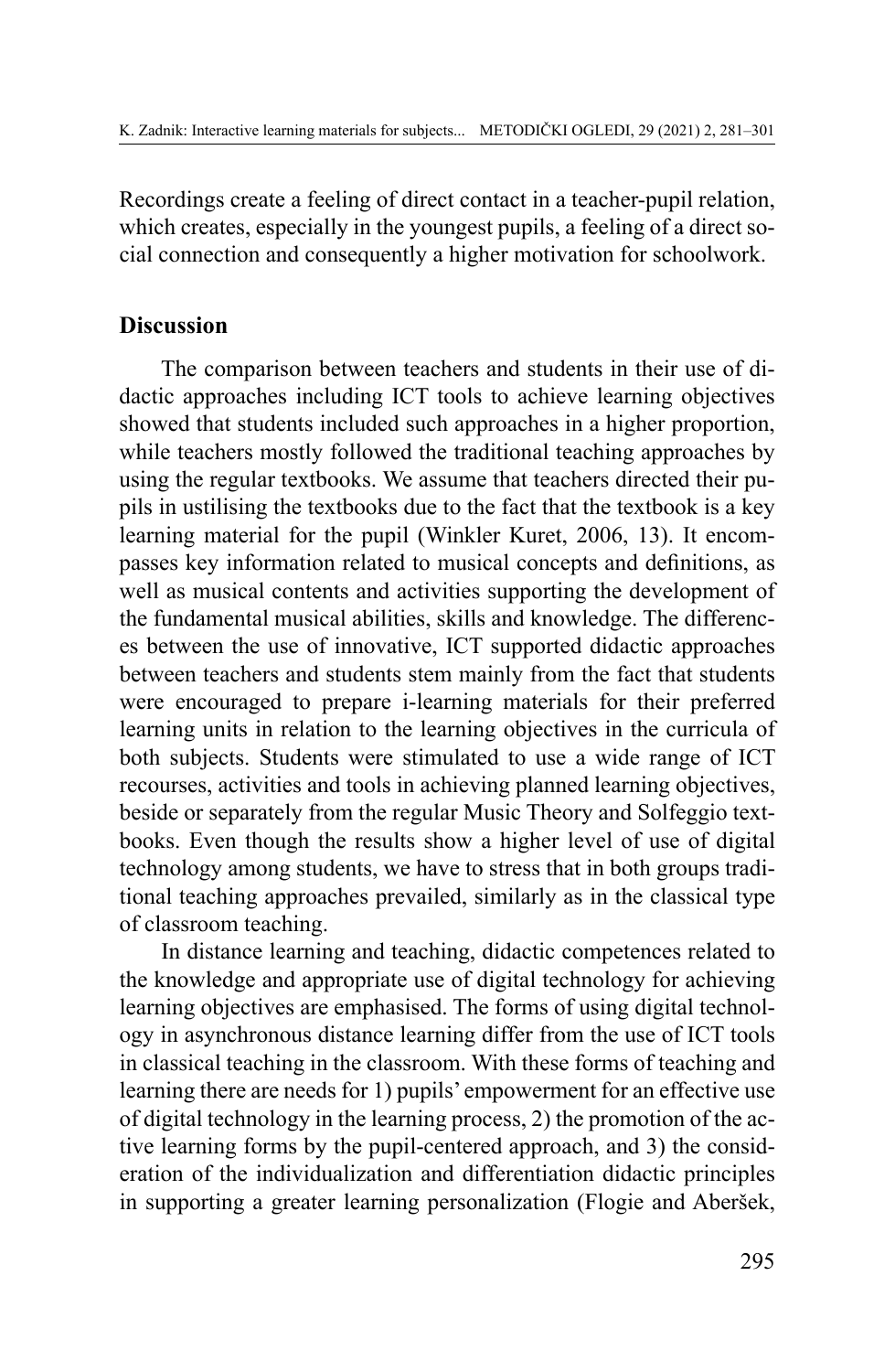Recordings create a feeling of direct contact in a teacher-pupil relation, which creates, especially in the youngest pupils, a feeling of a direct social connection and consequently a higher motivation for schoolwork.

### **Discussion**

The comparison between teachers and students in their use of didactic approaches including ICT tools to achieve learning objectives showed that students included such approaches in a higher proportion, while teachers mostly followed the traditional teaching approaches by using the regular textbooks. We assume that teachers directed their pupils in ustilising the textbooks due to the fact that the textbook is a key learning material for the pupil (Winkler Kuret, 2006, 13). It encompasses key information related to musical concepts and definitions, as well as musical contents and activities supporting the development of the fundamental musical abilities, skills and knowledge. The differences between the use of innovative, ICT supported didactic approaches between teachers and students stem mainly from the fact that students were encouraged to prepare i-learning materials for their preferred learning units in relation to the learning objectives in the curricula of both subjects. Students were stimulated to use a wide range of ICT recourses, activities and tools in achieving planned learning objectives, beside or separately from the regular Music Theory and Solfeggio textbooks. Even though the results show a higher level of use of digital technology among students, we have to stress that in both groups traditional teaching approaches prevailed, similarly as in the classical type of classroom teaching.

In distance learning and teaching, didactic competences related to the knowledge and appropriate use of digital technology for achieving learning objectives are emphasised. The forms of using digital technology in asynchronous distance learning differ from the use of ICT tools in classical teaching in the classroom. With these forms of teaching and learning there are needs for 1) pupils' empowerment for an effective use of digital technology in the learning process, 2) the promotion of the active learning forms by the pupil-centered approach, and 3) the consideration of the individualization and differentiation didactic principles in supporting a greater learning personalization (Flogie and Aberšek,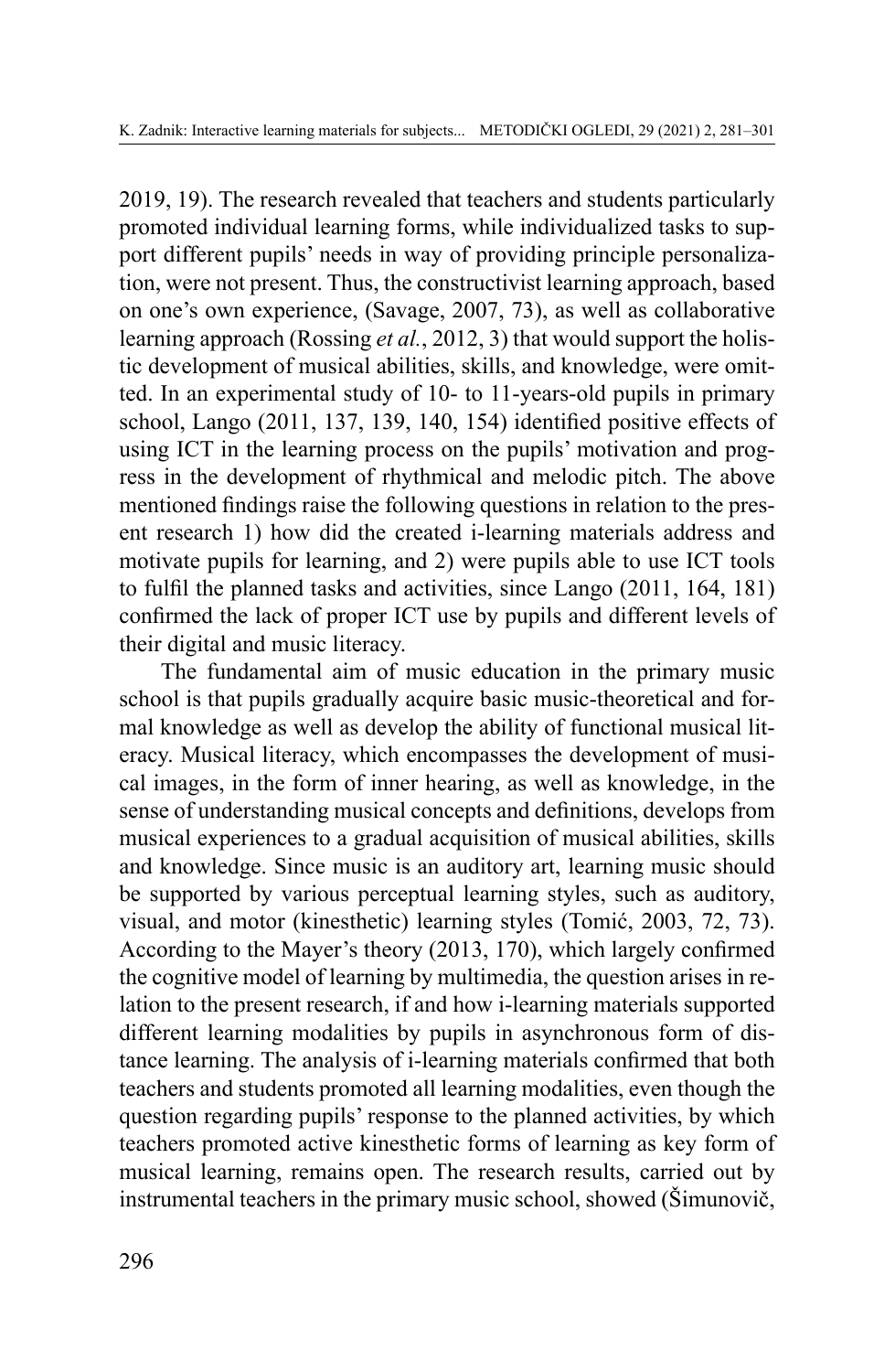2019, 19). The research revealed that teachers and students particularly promoted individual learning forms, while individualized tasks to support different pupils' needs in way of providing principle personalization, were not present. Thus, the constructivist learning approach, based on one's own experience, (Savage, 2007, 73), as well as collaborative learning approach (Rossing *et al.*, 2012, 3) that would support the holistic development of musical abilities, skills, and knowledge, were omitted. In an experimental study of 10- to 11-years-old pupils in primary school, Lango (2011, 137, 139, 140, 154) identified positive effects of using ICT in the learning process on the pupils' motivation and progress in the development of rhythmical and melodic pitch. The above mentioned findings raise the following questions in relation to the present research 1) how did the created i-learning materials address and motivate pupils for learning, and 2) were pupils able to use ICT tools to fulfil the planned tasks and activities, since Lango (2011, 164, 181) confirmed the lack of proper ICT use by pupils and different levels of their digital and music literacy.

The fundamental aim of music education in the primary music school is that pupils gradually acquire basic music-theoretical and formal knowledge as well as develop the ability of functional musical literacy. Musical literacy, which encompasses the development of musical images, in the form of inner hearing, as well as knowledge, in the sense of understanding musical concepts and definitions, develops from musical experiences to a gradual acquisition of musical abilities, skills and knowledge. Since music is an auditory art, learning music should be supported by various perceptual learning styles, such as auditory, visual, and motor (kinesthetic) learning styles (Tomić, 2003, 72, 73). According to the Mayer's theory (2013, 170), which largely confirmed the cognitive model of learning by multimedia, the question arises in relation to the present research, if and how i-learning materials supported different learning modalities by pupils in asynchronous form of distance learning. The analysis of i-learning materials confirmed that both teachers and students promoted all learning modalities, even though the question regarding pupils' response to the planned activities, by which teachers promoted active kinesthetic forms of learning as key form of musical learning, remains open. The research results, carried out by instrumental teachers in the primary music school, showed (Šimunovič,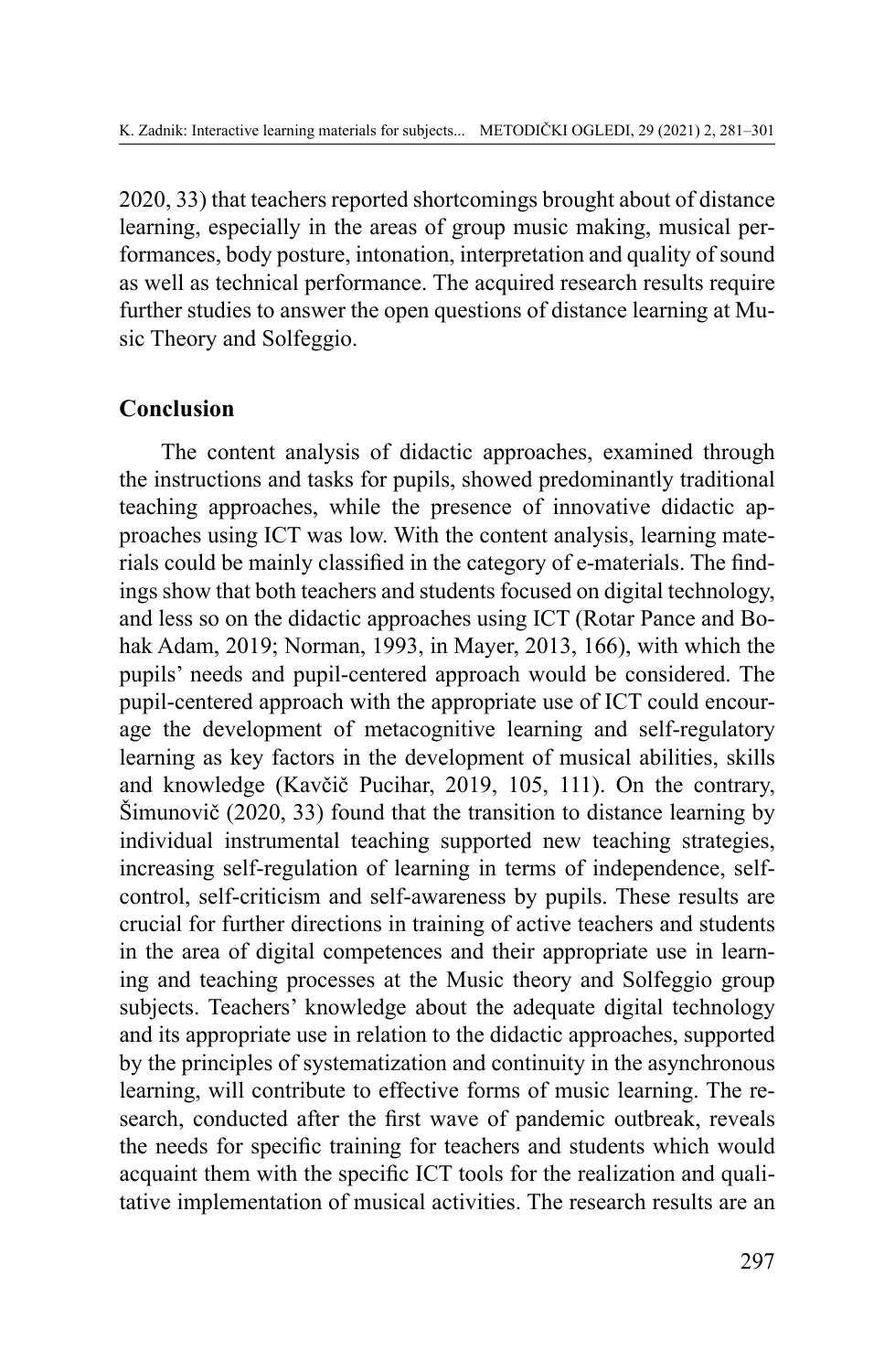2020, 33) that teachers reported shortcomings brought about of distance learning, especially in the areas of group music making, musical performances, body posture, intonation, interpretation and quality of sound as well as technical performance. The acquired research results require further studies to answer the open questions of distance learning at Music Theory and Solfeggio.

### **Conclusion**

The content analysis of didactic approaches, examined through the instructions and tasks for pupils, showed predominantly traditional teaching approaches, while the presence of innovative didactic approaches using ICT was low. With the content analysis, learning materials could be mainly classified in the category of e-materials. The findings show that both teachers and students focused on digital technology, and less so on the didactic approaches using ICT (Rotar Pance and Bohak Adam, 2019; Norman, 1993, in Mayer, 2013, 166), with which the pupils' needs and pupil-centered approach would be considered. The pupil-centered approach with the appropriate use of ICT could encourage the development of metacognitive learning and self-regulatory learning as key factors in the development of musical abilities, skills and knowledge (Kavčič Pucihar, 2019, 105, 111). On the contrary, Šimunovič (2020, 33) found that the transition to distance learning by individual instrumental teaching supported new teaching strategies, increasing self-regulation of learning in terms of independence, selfcontrol, self-criticism and self-awareness by pupils. These results are crucial for further directions in training of active teachers and students in the area of digital competences and their appropriate use in learning and teaching processes at the Music theory and Solfeggio group subjects. Teachers' knowledge about the adequate digital technology and its appropriate use in relation to the didactic approaches, supported by the principles of systematization and continuity in the asynchronous learning, will contribute to effective forms of music learning. The research, conducted after the first wave of pandemic outbreak, reveals the needs for specific training for teachers and students which would acquaint them with the specific ICT tools for the realization and qualitative implementation of musical activities. The research results are an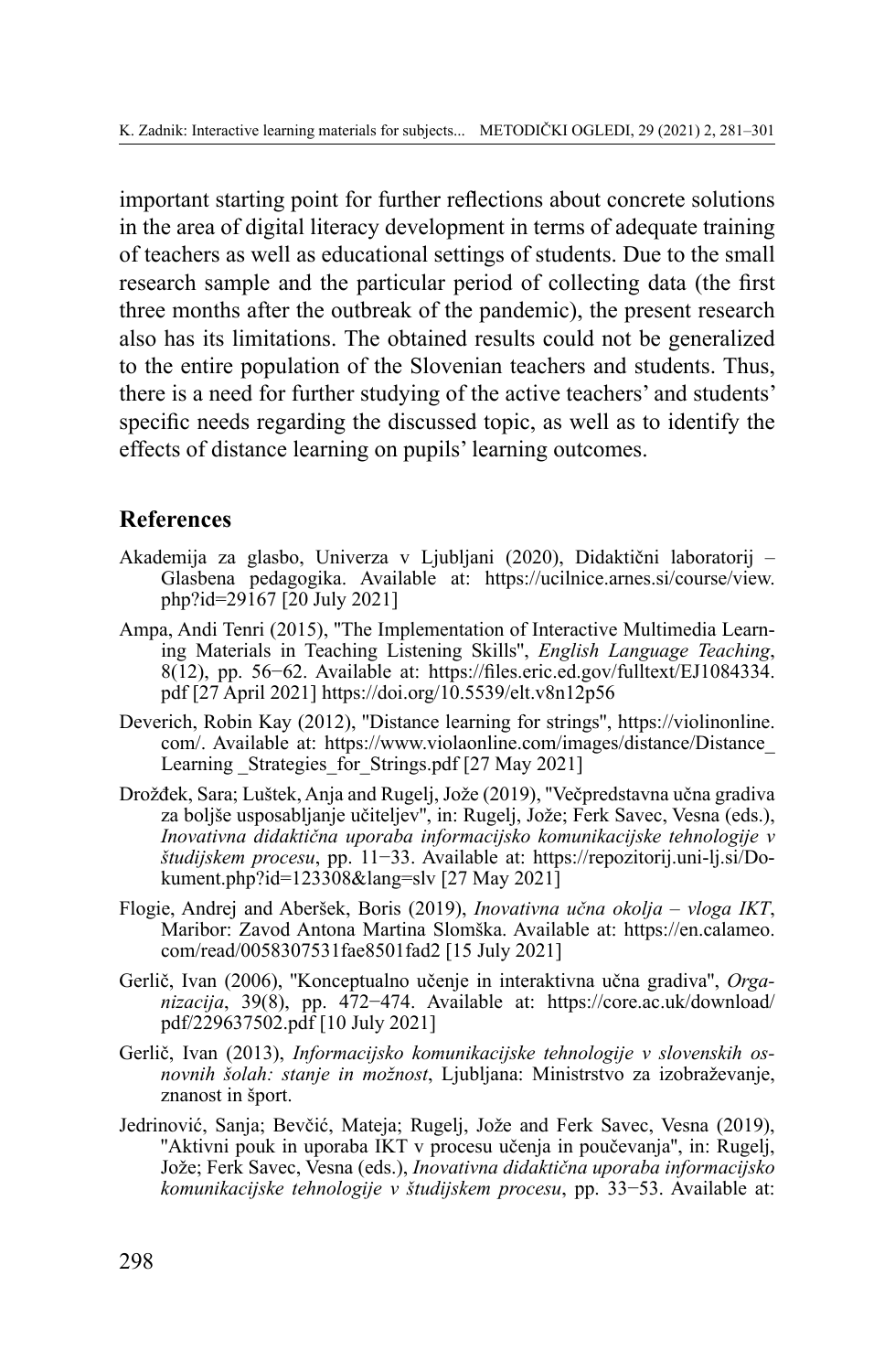important starting point for further reflections about concrete solutions in the area of digital literacy development in terms of adequate training of teachers as well as educational settings of students. Due to the small research sample and the particular period of collecting data (the first three months after the outbreak of the pandemic), the present research also has its limitations. The obtained results could not be generalized to the entire population of the Slovenian teachers and students. Thus, there is a need for further studying of the active teachers' and students' specific needs regarding the discussed topic, as well as to identify the effects of distance learning on pupils' learning outcomes.

### **References**

- Akademija za glasbo, Univerza v Ljubljani (2020), Didaktični laboratorij Glasbena pedagogika. Available at: [https://ucilnice.arnes.si/course/view.](https://ucilnice.arnes.si/course/view.php?id=29167) [php?id=29167](https://ucilnice.arnes.si/course/view.php?id=29167) [20 July 2021]
- Ampa, Andi Tenri (2015), ''The Implementation of Interactive Multimedia Learning Materials in Teaching Listening Skills'', *English Language Teaching*, 8(12), pp. 56−62. Available at: [https://files.eric.ed.gov/fulltext/EJ1084334.](https://files.eric.ed.gov/fulltext/EJ1084334.pdf %5B27) pdf [\[27](https://files.eric.ed.gov/fulltext/EJ1084334.pdf %5B27) April 2021] https://doi.org/10.5539/elt.v8n12p56
- Deverich, Robin Kay (2012), ''Distance learning for strings'', https://violinonline. com/. Available at: [https://www.violaonline.com/images/distance/Distance\\_](https://www.violaonline.com/images/distance/Distance_Learning _Strategies_for_Strings.pdf) Learning Strategies for Strings.pdf [27 May 2021]
- Drožđek, Sara; Luštek, Anja and Rugelj, Jože (2019), ''Večpredstavna učna gradiva za boljše usposabljanje učiteljev'', in: Rugelj, Jože; Ferk Savec, Vesna (eds.), *Inovativna didaktična uporaba informacijsko komunikacijske tehnologije v študijskem procesu*, pp. 11−33. Available at: [https://repozitorij.uni-lj.si/Do](https://repozitorij.uni-lj.si/Dokument.php?id=123308&lang=slv)[kument.php?id=123308&lang=slv](https://repozitorij.uni-lj.si/Dokument.php?id=123308&lang=slv) [27 May 2021]
- Flogie, Andrej and Aberšek, Boris (2019), *Inovativna učna okolja – vloga IKT*, Maribor: Zavod Antona Martina Slomška. Available at: [https://en.calameo.](https://en.calameo.com/read/0058307531fae8501fad2 %5B15) [com/read/0058307531fae8501fad2](https://en.calameo.com/read/0058307531fae8501fad2 %5B15) [15 July 2021]
- Gerlič, Ivan (2006), ''Konceptualno učenje in interaktivna učna gradiva'', *Organizacija*, 39(8), pp. 472−474. Available at: [https://core.ac.uk/download/](https://core.ac.uk/download/pdf/229637502.pdf %5B10) [pdf/229637502.pdf](https://core.ac.uk/download/pdf/229637502.pdf %5B10) [10 July 2021]
- Gerlič, Ivan (2013), *Informacijsko komunikacijske tehnologije v slovenskih osnovnih šolah: stanje in možnost*, Ljubljana: Ministrstvo za izobraževanje, znanost in šport.
- Jedrinović, Sanja; Bevčić, Mateja; Rugelj, Jože and Ferk Savec, Vesna (2019), "Aktivni pouk in uporaba IKT v procesu učenja in poučevanja", in: Rugelj, Jože; Ferk Savec, Vesna (eds.), *Inovativna didaktična uporaba informacijsko komunikacijske tehnologije v študijskem procesu*, pp. 33−53. Available at: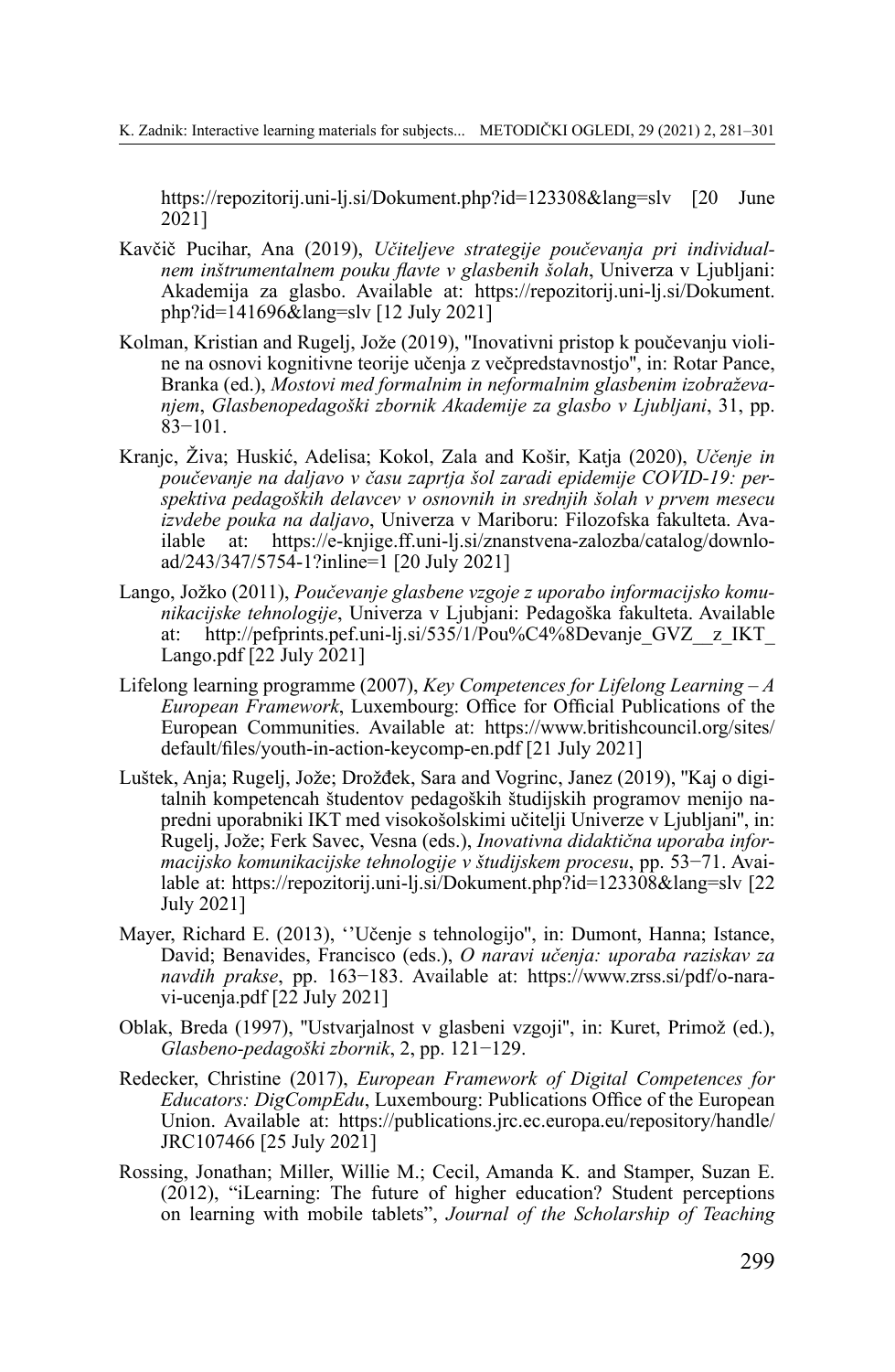<https://repozitorij.uni-lj.si/Dokument.php?id=123308&lang=slv> [20 June 2021]

- Kavčič Pucihar, Ana (2019), *Učiteljeve strategije poučevanja pri individualnem inštrumentalnem pouku flavte v glasbenih šolah*, Univerza v Ljubljani: Akademija za glasbo. Available at: [https://repozitorij.uni-lj.si/Dokument.](https://repozitorij.uni-lj.si/Dokument.php?id=141696&lang=slv) [php?id=141696&lang=slv](https://repozitorij.uni-lj.si/Dokument.php?id=141696&lang=slv) [12 July 2021]
- Kolman, Kristian and Rugelj, Jože (2019), ''Inovativni pristop k poučevanju violine na osnovi kognitivne teorije učenja z večpredstavnostjo'', in: Rotar Pance, Branka (ed.), *Mostovi med formalnim in neformalnim glasbenim izobraževanjem*, *Glasbenopedagoški zbornik Akademije za glasbo v Ljubljani*, 31, pp. 83−101.
- Kranjc, Živa; Huskić, Adelisa; Kokol, Zala and Košir, Katja (2020), *Učenje in poučevanje na daljavo v času zaprtja šol zaradi epidemije COVID-19: perspektiva pedagoških delavcev v osnovnih in srednjih šolah v prvem mesecu izvdebe pouka na daljavo*, Univerza v Mariboru: Filozofska fakulteta. Available at: [https://e-knjige.ff.uni-lj.si/znanstvena-zalozba/catalog/downlo](https://e-knjige.ff.uni-lj.si/znanstvena-zalozba/catalog/download/243/347/5754-1?inline=1)[ad/243/347/5754-1?inline=1](https://e-knjige.ff.uni-lj.si/znanstvena-zalozba/catalog/download/243/347/5754-1?inline=1) [20 July 2021]
- Lango, Jožko (2011), *Poučevanje glasbene vzgoje z uporabo informacijsko komunikacijske tehnologije*, Univerza v Ljubjani: Pedagoška fakulteta. Available at: [http://pefprints.pef.uni-lj.si/535/1/Pou%C4%8Devanje\\_GVZ\\_\\_z\\_IKT\\_](http://pefprints.pef.uni-lj.si/535/1/Poučevanje_GVZ__z_IKT_Lango.pdf) [Lango.pdf](http://pefprints.pef.uni-lj.si/535/1/Poučevanje_GVZ__z_IKT_Lango.pdf) [22 July 2021]
- Lifelong learning programme (2007), *Key Competences for Lifelong Learning – A European Framework*, Luxembourg: Office for Official Publications of the European Communities. Available at: [https://www.britishcouncil.org/sites/](https://www.britishcouncil.org/sites/default/files/youth-in-action-keycomp-en.pdf) [default/files/youth-in-action-keycomp-en.pdf](https://www.britishcouncil.org/sites/default/files/youth-in-action-keycomp-en.pdf) [21 July 2021]
- Luštek, Anja; Rugelj, Jože; Drožđek, Sara and Vogrinc, Janez (2019), ''Kaj o digitalnih kompetencah študentov pedagoških študijskih programov menijo napredni uporabniki IKT med visokošolskimi učitelji Univerze v Ljubljani'', in: Rugelj, Jože; Ferk Savec, Vesna (eds.), *Inovativna didaktična uporaba informacijsko komunikacijske tehnologije v študijskem procesu*, pp. 53−71. Available at: <https://repozitorij.uni-lj.si/Dokument.php?id=123308&lang=slv> [22 July 2021]
- Mayer, Richard E. (2013), ''Učenje s tehnologijo'', in: Dumont, Hanna; Istance, David; Benavides, Francisco (eds.), *O naravi učenja: uporaba raziskav za navdih prakse*, pp. 163−183. Available at: [https://www.zrss.si/pdf/o-nara](https://www.zrss.si/pdf/o-naravi-ucenja.pdf)[vi-ucenja.pdf](https://www.zrss.si/pdf/o-naravi-ucenja.pdf) [22 July 2021]
- Oblak, Breda (1997), ''Ustvarjalnost v glasbeni vzgoji'', in: Kuret, Primož (ed.), *Glasbeno-pedagoški zbornik*, 2, pp. 121−129.
- Redecker, Christine (2017), *European Framework of Digital Competences for Educators: DigCompEdu*, Luxembourg: Publications Office of the European Union. Available at: [https://publications.jrc.ec.europa.eu/repository/handle/](https://publications.jrc.ec.europa.eu/repository/handle/JRC107466 %5B25) [JRC107466](https://publications.jrc.ec.europa.eu/repository/handle/JRC107466 %5B25) [25 July 2021]
- Rossing, Jonathan; Miller, Willie M.; Cecil, Amanda K. and Stamper, Suzan E. (2012), "iLearning: The future of higher education? Student perceptions on learning with mobile tablets", *Journal of the Scholarship of Teaching*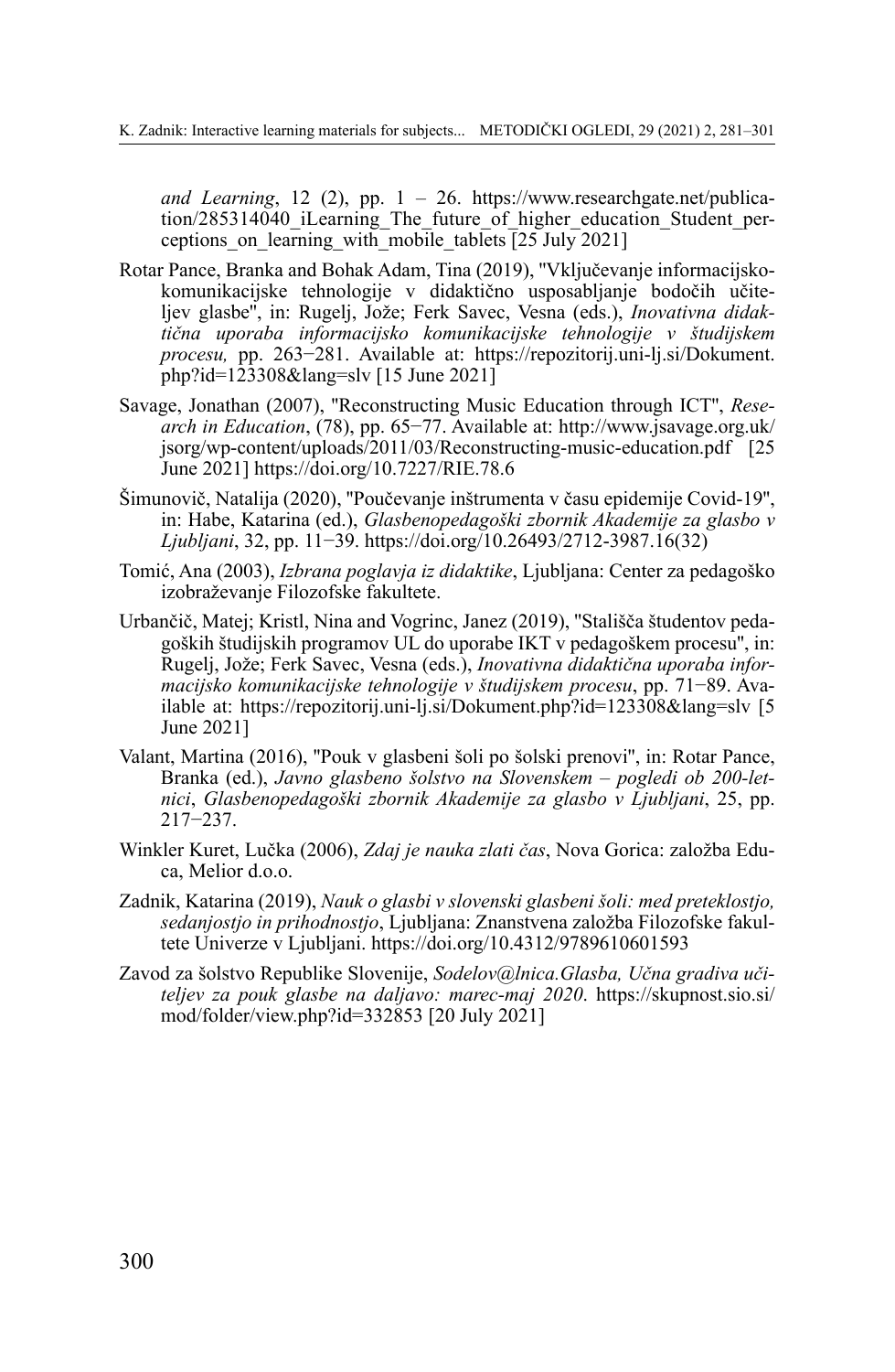*and Learning*, 12 (2), pp. 1 – 26. [https://www.researchgate.net/publica](https://www.researchgate.net/publication/285314040_iLearning_The_future_of_higher_education_Student_perceptions_on_learning_with_mobile_tablets)[tion/285314040\\_iLearning\\_The\\_future\\_of\\_higher\\_education\\_Student\\_per](https://www.researchgate.net/publication/285314040_iLearning_The_future_of_higher_education_Student_perceptions_on_learning_with_mobile_tablets)ceptions on learning with mobile tablets  $\sqrt{25 \text{ July } 2021}$ 

- Rotar Pance, Branka and Bohak Adam, Tina (2019), ''Vključevanje informacijskokomunikacijske tehnologije v didaktično usposabljanje bodočih učiteljev glasbe'', in: Rugelj, Jože; Ferk Savec, Vesna (eds.), *Inovativna didaktična uporaba informacijsko komunikacijske tehnologije v študijskem procesu,* pp. 263−281. Available at: [https://repozitorij.uni-lj.si/Dokument.](https://repozitorij.uni-lj.si/Dokument.php?id=123308&lang=slv) [php?id=123308&lang=slv](https://repozitorij.uni-lj.si/Dokument.php?id=123308&lang=slv) [15 June 2021]
- Savage, Jonathan (2007), ''Reconstructing Music Education through ICT'', *Research in Education*, (78), pp. 65−77. Available at: [http://www.jsavage.org.uk/](http://www.jsavage.org.uk/jsorg/wp-content/uploads/2011/03/Reconstructing-music-education.pdf) [jsorg/wp-content/uploads/2011/03/Reconstructing-music-education.pdf](http://www.jsavage.org.uk/jsorg/wp-content/uploads/2011/03/Reconstructing-music-education.pdf) [25 June 2021] https://doi.org/10.7227/RIE.78.6
- Šimunovič, Natalija (2020), ''Poučevanje inštrumenta v času epidemije Covid-19'', in: Habe, Katarina (ed.), *Glasbenopedagoški zbornik Akademije za glasbo v Ljubljani*, 32, pp. 11−39. [https://doi.org/10.26493/2712-3987.16\(32\)](https://doi.org/10.26493/2712-3987.16(32))
- Tomić, Ana (2003), *Izbrana poglavja iz didaktike*, Ljubljana: Center za pedagoško izobraževanje Filozofske fakultete.
- Urbančič, Matej; Kristl, Nina and Vogrinc, Janez (2019), ''Stališča študentov pedagoških študijskih programov UL do uporabe IKT v pedagoškem procesu'', in: Rugelj, Jože; Ferk Savec, Vesna (eds.), *Inovativna didaktična uporaba informacijsko komunikacijske tehnologije v študijskem procesu*, pp. 71−89. Available at: <https://repozitorij.uni-lj.si/Dokument.php?id=123308&lang=slv> [5 June 2021]
- Valant, Martina (2016), ''Pouk v glasbeni šoli po šolski prenovi'', in: Rotar Pance, Branka (ed.), *Javno glasbeno šolstvo na Slovenskem – pogledi ob 200-letnici*, *Glasbenopedagoški zbornik Akademije za glasbo v Ljubljani*, 25, pp. 217−237.
- Winkler Kuret, Lučka (2006), *Zdaj je nauka zlati čas*, Nova Gorica: založba Educa, Melior d.o.o.
- Zadnik, Katarina (2019), *Nauk o glasbi v slovenski glasbeni šoli: med preteklostjo, sedanjostjo in prihodnostjo*, Ljubljana: Znanstvena založba Filozofske fakultete Univerze v Ljubljani. <https://doi.org/10.4312/9789610601593>
- Zavod za šolstvo Republike Slovenije, *[Sodelov@lnica.Glasba,](mailto:Sodelov@lnica.Glasba) Učna gradiva učiteljev za pouk glasbe na daljavo: marec-maj 2020*. [https://skupnost.sio.si/](https://skupnost.sio.si/mod/folder/view.php?id=332853) [mod/folder/view.php?id=332853](https://skupnost.sio.si/mod/folder/view.php?id=332853) [20 July 2021]